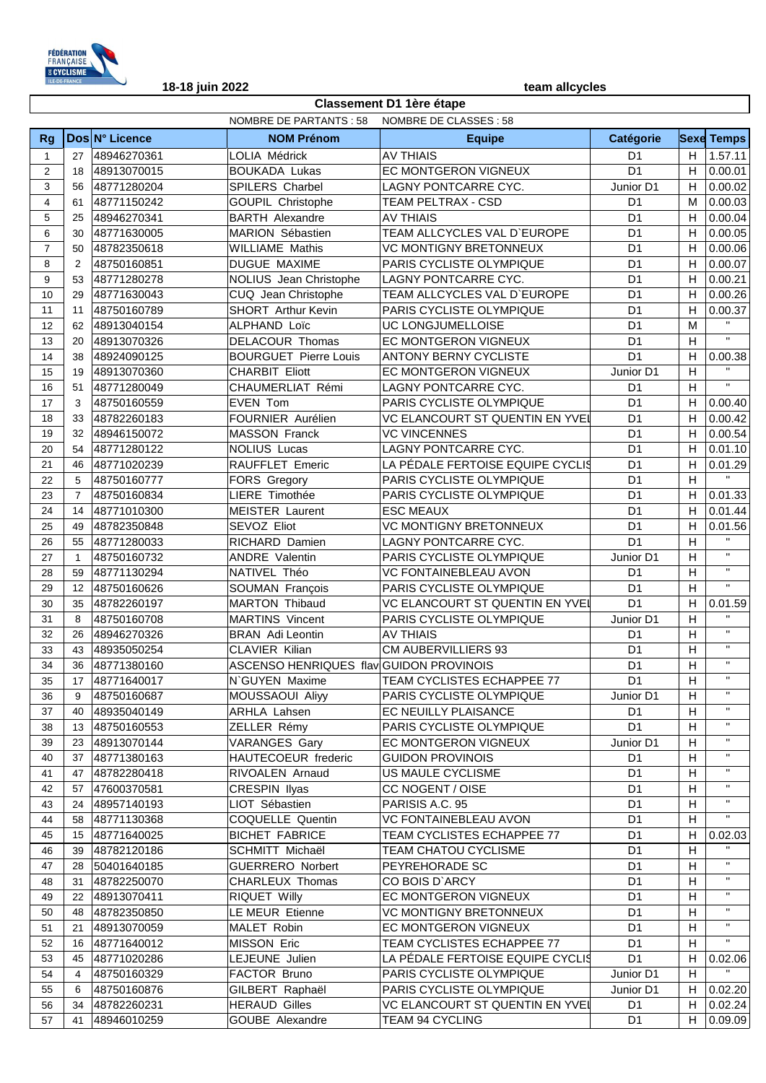

|                |                |                |                                                | <b>Classement D1 1ère étape</b>  |                |    |                       |
|----------------|----------------|----------------|------------------------------------------------|----------------------------------|----------------|----|-----------------------|
|                |                |                | NOMBRE DE PARTANTS : 58 NOMBRE DE CLASSES : 58 |                                  |                |    |                       |
| <b>Rg</b>      |                | Dos N° Licence | <b>NOM Prénom</b>                              | <b>Equipe</b>                    | Catégorie      |    | <b>Sexe Temps</b>     |
| $\mathbf{1}$   | 27             | 48946270361    | LOLIA Médrick                                  | <b>AV THIAIS</b>                 | D <sub>1</sub> |    | $H$ 1.57.11           |
| 2              | 18             | 48913070015    | <b>BOUKADA Lukas</b>                           | EC MONTGERON VIGNEUX             | D <sub>1</sub> | H  | 0.00.01               |
| 3              | 56             | 48771280204    | SPILERS Charbel                                | LAGNY PONTCARRE CYC.             | Junior D1      | H  | 0.00.02               |
| $\overline{4}$ | 61             | 48771150242    | GOUPIL Christophe                              | TEAM PELTRAX - CSD               | D <sub>1</sub> | M  | 0.00.03               |
| 5              | 25             | 48946270341    | <b>BARTH Alexandre</b>                         | <b>AV THIAIS</b>                 | D <sub>1</sub> | H  | 0.00.04               |
| 6              | 30             | 48771630005    | MARION Sébastien                               | TEAM ALLCYCLES VAL D'EUROPE      | D <sub>1</sub> | H  | 0.00.05               |
| $\overline{7}$ | 50             | 48782350618    | <b>WILLIAME Mathis</b>                         | <b>VC MONTIGNY BRETONNEUX</b>    | D <sub>1</sub> | H  | 0.00.06               |
| 8              | 2              | 48750160851    | DUGUE MAXIME                                   | PARIS CYCLISTE OLYMPIQUE         | D <sub>1</sub> | H  | 0.00.07               |
| 9              | 53             | 48771280278    | NOLIUS Jean Christophe                         | LAGNY PONTCARRE CYC.             | D <sub>1</sub> | H  | 0.00.21               |
| 10             | 29             | 48771630043    | CUQ Jean Christophe                            | TEAM ALLCYCLES VAL D'EUROPE      | D <sub>1</sub> | H  | 0.00.26               |
| 11             | 11             | 48750160789    | SHORT Arthur Kevin                             | PARIS CYCLISTE OLYMPIQUE         | D <sub>1</sub> | H  | 0.00.37               |
| 12             | 62             | 48913040154    | ALPHAND Loïc                                   | UC LONGJUMELLOISE                | D <sub>1</sub> | M  | $\mathbf{H}$          |
| 13             | 20             | 48913070326    | DELACOUR Thomas                                | EC MONTGERON VIGNEUX             | D <sub>1</sub> | H  | $\mathbf{u}$          |
| 14             | 38             | 48924090125    | <b>BOURGUET Pierre Louis</b>                   | <b>ANTONY BERNY CYCLISTE</b>     | D <sub>1</sub> | H  | 0.00.38               |
| 15             | 19             | 48913070360    | <b>CHARBIT Eliott</b>                          | EC MONTGERON VIGNEUX             | Junior D1      | H  | $\mathbf{H}^{\prime}$ |
| 16             | 51             | 48771280049    | CHAUMERLIAT Rémi                               | LAGNY PONTCARRE CYC.             | D <sub>1</sub> | H  | $\mathbf{H}$          |
| 17             | 3              | 48750160559    | EVEN Tom                                       | PARIS CYCLISTE OLYMPIQUE         | D <sub>1</sub> | H  | 0.00.40               |
| 18             | 33             | 48782260183    | FOURNIER Aurélien                              | VC ELANCOURT ST QUENTIN EN YVEI  | D <sub>1</sub> | H  | 0.00.42               |
| 19             | 32             | 48946150072    | <b>MASSON Franck</b>                           | <b>VC VINCENNES</b>              | D <sub>1</sub> | H  | 0.00.54               |
| 20             | 54             | 48771280122    | <b>NOLIUS Lucas</b>                            | LAGNY PONTCARRE CYC.             | D <sub>1</sub> | H  | 0.01.10               |
| 21             | 46             | 48771020239    | RAUFFLET Emeric                                | LA PÉDALE FERTOISE EQUIPE CYCLI§ | D <sub>1</sub> | H  | 0.01.29               |
| 22             | 5              | 48750160777    | FORS Gregory                                   | PARIS CYCLISTE OLYMPIQUE         | D <sub>1</sub> | H  | $\mathbf{H}$          |
| 23             | $\overline{7}$ | 48750160834    | LIERE Timothée                                 | PARIS CYCLISTE OLYMPIQUE         | D <sub>1</sub> | H  | 0.01.33               |
| 24             | 14             | 48771010300    | <b>MEISTER Laurent</b>                         | <b>ESC MEAUX</b>                 | D <sub>1</sub> | H  | 0.01.44               |
| 25             | 49             | 48782350848    | SEVOZ Eliot                                    | <b>VC MONTIGNY BRETONNEUX</b>    | D <sub>1</sub> | H  | 0.01.56               |
| 26             | 55             | 48771280033    | RICHARD Damien                                 | LAGNY PONTCARRE CYC.             | D <sub>1</sub> | H  | $\mathbf{H}$          |
| 27             | $\mathbf{1}$   | 48750160732    | <b>ANDRE Valentin</b>                          | PARIS CYCLISTE OLYMPIQUE         | Junior D1      | H  | $\mathbf{H}$          |
| 28             | 59             | 48771130294    | NATIVEL Théo                                   | <b>VC FONTAINEBLEAU AVON</b>     | D <sub>1</sub> | H  | $\mathbf{H}$          |
| 29             | 12             | 48750160626    | SOUMAN François                                | PARIS CYCLISTE OLYMPIQUE         | D <sub>1</sub> | H  | $\mathbf{H}$          |
| 30             | 35             | 48782260197    | <b>MARTON Thibaud</b>                          | VC ELANCOURT ST QUENTIN EN YVEI  | D <sub>1</sub> | H  | 0.01.59               |
| 31             | 8              | 48750160708    | <b>MARTINS Vincent</b>                         | PARIS CYCLISTE OLYMPIQUE         | Junior D1      | H  | $\mathbf{H}$          |
| 32             | 26             | 48946270326    | <b>BRAN</b> Adi Leontin                        | <b>AV THIAIS</b>                 | D <sub>1</sub> | H  | $\mathbf{H}$          |
| 33             | 43             | 48935050254    | CLAVIER Kilian                                 | CM AUBERVILLIERS 93              | D <sub>1</sub> | H  | $\mathbf{H}$          |
| 34             | 36             | 48771380160    | ASCENSO HENRIQUES flav GUIDON PROVINOIS        |                                  | D <sub>1</sub> | H  | $\mathbf{H}$          |
| 35             | 17             | 48771640017    | N`GUYEN Maxime                                 | TEAM CYCLISTES ECHAPPEE 77       | D <sub>1</sub> | H  | $\mathbf{H}$          |
| 36             | 9              | 48750160687    | MOUSSAOUI Aliyy                                | PARIS CYCLISTE OLYMPIQUE         | Junior D1      | H  | $\mathbf{H}$          |
| 37             | 40             | 48935040149    | ARHLA Lahsen                                   | EC NEUILLY PLAISANCE             | D <sub>1</sub> | H  | $\mathbf{H}$          |
| 38             | 13             | 48750160553    | ZELLER Rémy                                    | PARIS CYCLISTE OLYMPIQUE         | D <sub>1</sub> | H  | $\mathbf{H}$          |
| 39             | 23             | 48913070144    | <b>VARANGES Gary</b>                           | EC MONTGERON VIGNEUX             | Junior D1      | H  | $\mathbf{H}$          |
| 40             | 37             | 48771380163    | HAUTECOEUR frederic                            | <b>GUIDON PROVINOIS</b>          | D <sub>1</sub> | H  | $\mathbf{H}$          |
| 41             | 47             | 48782280418    | RIVOALEN Arnaud                                | US MAULE CYCLISME                | D <sub>1</sub> | H  | $\mathbf{H}$          |
| 42             | 57             | 47600370581    | <b>CRESPIN Ilyas</b>                           | CC NOGENT / OISE                 | D <sub>1</sub> | H  | $\mathbf{H}$          |
| 43             | 24             | 48957140193    | LIOT Sébastien                                 | PARISIS A.C. 95                  | D <sub>1</sub> | H  | $\mathbf{H}$          |
| 44             | 58             | 48771130368    | COQUELLE Quentin                               | <b>VC FONTAINEBLEAU AVON</b>     | D <sub>1</sub> | H  | $\mathbf{H}$          |
| 45             | 15             | 48771640025    | <b>BICHET FABRICE</b>                          | TEAM CYCLISTES ECHAPPEE 77       | D <sub>1</sub> | H  | 0.02.03               |
| 46             | 39             | 48782120186    | SCHMITT Michaël                                | TEAM CHATOU CYCLISME             | D <sub>1</sub> | H  | $\mathbf{H}$          |
| 47             | 28             | 50401640185    | <b>GUERRERO Norbert</b>                        | PEYREHORADE SC                   | D <sub>1</sub> | H  | $\mathbf{H}$          |
| 48             | 31             | 48782250070    | CHARLEUX Thomas                                | CO BOIS D'ARCY                   | D <sub>1</sub> | H  | $\mathbf H$           |
| 49             | 22             | 48913070411    | RIQUET Willy                                   | EC MONTGERON VIGNEUX             | D <sub>1</sub> | H  | $\mathbf H$           |
| 50             | 48             | 48782350850    | LE MEUR Etienne                                | <b>VC MONTIGNY BRETONNEUX</b>    | D <sub>1</sub> | H  | $\mathbf H$           |
| 51             | 21             | 48913070059    | MALET Robin                                    | EC MONTGERON VIGNEUX             | D <sub>1</sub> | H  | $\mathbf H$           |
| 52             | 16             | 48771640012    | MISSON Eric                                    | TEAM CYCLISTES ECHAPPEE 77       | D <sub>1</sub> | H  | $\mathbf{H}$          |
| 53             | 45             | 48771020286    | LEJEUNE Julien                                 | LA PÉDALE FERTOISE EQUIPE CYCLIS | D <sub>1</sub> | H  | 0.02.06               |
| 54             | 4              | 48750160329    | FACTOR Bruno                                   | PARIS CYCLISTE OLYMPIQUE         | Junior D1      | H  | $\mathbf{H}^{\top}$   |
| 55             | 6              | 48750160876    | GILBERT Raphaël                                | PARIS CYCLISTE OLYMPIQUE         | Junior D1      | H  | 0.02.20               |
| 56             | 34             | 48782260231    | <b>HERAUD Gilles</b>                           | VC ELANCOURT ST QUENTIN EN YVEI  | D1             | H  | 0.02.24               |
| 57             | 41             | 48946010259    | GOUBE Alexandre                                | TEAM 94 CYCLING                  | D <sub>1</sub> | H. | 0.09.09               |
|                |                |                |                                                |                                  |                |    |                       |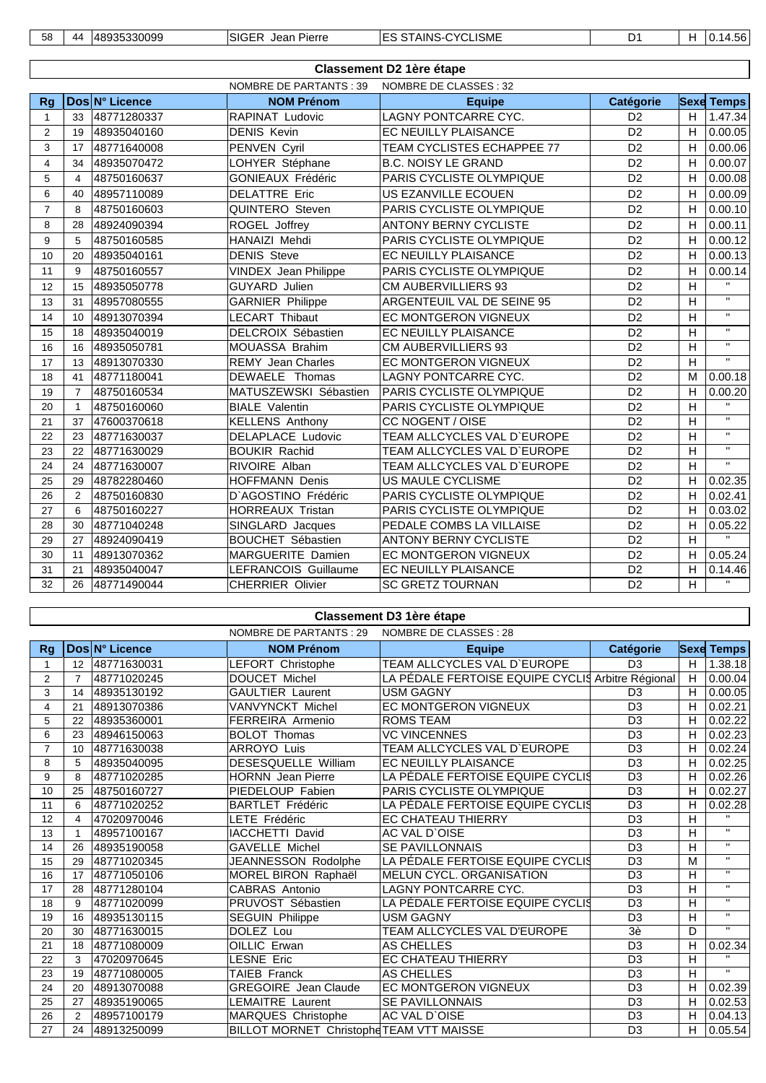| 58 | $\overline{A}$ | nac<br>≺ 1⁄<br>. <del>.</del> | SIG<br>∟ncrr<br>ההו<br>ם וס | .<br>٨IN<br>```<br>∵ISME<br>______ | -- |  | . .<br>$\cdots$ |
|----|----------------|-------------------------------|-----------------------------|------------------------------------|----|--|-----------------|
|----|----------------|-------------------------------|-----------------------------|------------------------------------|----|--|-----------------|

|                |                |                |                             | <b>Classement D2 1ère étape</b>   |                |                |                         |
|----------------|----------------|----------------|-----------------------------|-----------------------------------|----------------|----------------|-------------------------|
|                |                |                | NOMBRE DE PARTANTS : 39     | NOMBRE DE CLASSES : 32            |                |                |                         |
| <b>Rg</b>      |                | Dos N° Licence | <b>NOM Prénom</b>           | <b>Equipe</b>                     | Catégorie      |                | <b>Sexe Temps</b>       |
| 1              | 33             | 48771280337    | <b>RAPINAT Ludovic</b>      | LAGNY PONTCARRE CYC.              | D <sub>2</sub> | H              | 1.47.34                 |
| 2              | 19             | 48935040160    | <b>DENIS Kevin</b>          | <b>EC NEUILLY PLAISANCE</b>       | D <sub>2</sub> | Н              | 0.00.05                 |
| 3              | 17             | 48771640008    | PENVEN Cyril                | <b>TEAM CYCLISTES ECHAPPEE 77</b> | D <sub>2</sub> | Н              | 0.00.06                 |
| 4              | 34             | 48935070472    | LOHYER Stéphane             | <b>B.C. NOISY LE GRAND</b>        | D <sub>2</sub> | H              | 0.00.07                 |
| 5              | $\overline{4}$ | 48750160637    | <b>GONIEAUX Frédéric</b>    | PARIS CYCLISTE OLYMPIQUE          | D <sub>2</sub> | H              | 0.00.08                 |
| 6              | 40             | 48957110089    | <b>DELATTRE Eric</b>        | US EZANVILLE ECOUEN               | D <sub>2</sub> | $\overline{H}$ | 0.00.09                 |
| $\overline{7}$ | 8              | 48750160603    | QUINTERO Steven             | PARIS CYCLISTE OLYMPIQUE          | D <sub>2</sub> | H              | 0.00.10                 |
| 8              | 28             | 48924090394    | ROGEL Joffrey               | <b>ANTONY BERNY CYCLISTE</b>      | D <sub>2</sub> | H              | 0.00.11                 |
| 9              | 5              | 48750160585    | HANAIZI Mehdi               | PARIS CYCLISTE OLYMPIQUE          | D <sub>2</sub> | H              | 0.00.12                 |
| 10             | 20             | 48935040161    | <b>DENIS Steve</b>          | EC NEUILLY PLAISANCE              | D <sub>2</sub> | Н              | 0.00.13                 |
| 11             | 9              | 48750160557    | <b>VINDEX Jean Philippe</b> | PARIS CYCLISTE OLYMPIQUE          | D <sub>2</sub> | H              | 0.00.14                 |
| 12             | 15             | 48935050778    | <b>GUYARD Julien</b>        | CM AUBERVILLIERS 93               | D <sub>2</sub> | H              | $\mathbf{H}$            |
| 13             | 31             | 48957080555    | <b>GARNIER Philippe</b>     | ARGENTEUIL VAL DE SEINE 95        | D <sub>2</sub> | H              | $\mathbf{u}$            |
| 14             | 10             | 48913070394    | <b>LECART Thibaut</b>       | <b>EC MONTGERON VIGNEUX</b>       | D <sub>2</sub> | H              | $\mathbf{H}$            |
| 15             | 18             | 48935040019    | DELCROIX Sébastien          | EC NEUILLY PLAISANCE              | D <sub>2</sub> | H              | $\mathbf{H}$            |
| 16             | 16             | 48935050781    | MOUASSA Brahim              | CM AUBERVILLIERS 93               | D <sub>2</sub> | $\overline{H}$ | $\mathbf{H}$            |
| 17             | 13             | 48913070330    | <b>REMY Jean Charles</b>    | <b>EC MONTGERON VIGNEUX</b>       | D <sub>2</sub> | H              | $\mathbf{H}$            |
| 18             | 41             | 48771180041    | DEWAELE Thomas              | LAGNY PONTCARRE CYC.              | D <sub>2</sub> | M              | 0.00.18                 |
| 19             | $\overline{7}$ | 48750160534    | MATUSZEWSKI Sébastien       | PARIS CYCLISTE OLYMPIQUE          | D <sub>2</sub> | Н              | 0.00.20                 |
| 20             | $\mathbf{1}$   | 48750160060    | <b>BIALE Valentin</b>       | PARIS CYCLISTE OLYMPIQUE          | D <sub>2</sub> | H              | $\overline{\mathbf{u}}$ |
| 21             | 37             | 47600370618    | <b>KELLENS Anthony</b>      | CC NOGENT / OISE                  | D <sub>2</sub> | H              | $\mathbf{H}$            |
| 22             | 23             | 48771630037    | DELAPLACE Ludovic           | TEAM ALLCYCLES VAL D'EUROPE       | D <sub>2</sub> | H              | $\mathbf{H}$            |
| 23             | 22             | 48771630029    | <b>BOUKIR Rachid</b>        | TEAM ALLCYCLES VAL D'EUROPE       | D <sub>2</sub> | H              | $\mathbf{u}$            |
| 24             | 24             | 48771630007    | RIVOIRE Alban               | TEAM ALLCYCLES VAL D'EUROPE       | D <sub>2</sub> | $\mathsf{H}$   | $\overline{u}$          |
| 25             | 29             | 48782280460    | <b>HOFFMANN Denis</b>       | US MAULE CYCLISME                 | D <sub>2</sub> | H              | 0.02.35                 |
| 26             | $\overline{2}$ | 48750160830    | D'AGOSTINO Frédéric         | PARIS CYCLISTE OLYMPIQUE          | D <sub>2</sub> | H              | 0.02.41                 |
| 27             | 6              | 48750160227    | <b>HORREAUX Tristan</b>     | PARIS CYCLISTE OLYMPIQUE          | D <sub>2</sub> | H              | 0.03.02                 |
| 28             | 30             | 48771040248    | SINGLARD Jacques            | PEDALE COMBS LA VILLAISE          | D <sub>2</sub> | H              | 0.05.22                 |
| 29             | 27             | 48924090419    | <b>BOUCHET Sébastien</b>    | <b>ANTONY BERNY CYCLISTE</b>      | D <sub>2</sub> | H              | $\mathbf{H}$            |
| 30             | 11             | 48913070362    | MARGUERITE Damien           | EC MONTGERON VIGNEUX              | D <sub>2</sub> | H              | 0.05.24                 |
| 31             | 21             | 48935040047    | LEFRANCOIS Guillaume        | EC NEUILLY PLAISANCE              | D <sub>2</sub> | H              | 0.14.46                 |
| 32             | 26             | 48771490044    | <b>CHERRIER Olivier</b>     | <b>SC GRETZ TOURNAN</b>           | D <sub>2</sub> | H              | $\overline{\mathbf{u}}$ |

### **Classement D3 1ère étape**

|                |                 |                | NOMBRE DE PARTANTS : 29                  | NOMBRE DE CLASSES : 28                            |                  |   |                   |
|----------------|-----------------|----------------|------------------------------------------|---------------------------------------------------|------------------|---|-------------------|
| Rg             |                 | Dos N° Licence | <b>NOM Prénom</b>                        | <b>Equipe</b>                                     | <b>Catégorie</b> |   | <b>Sexe Temps</b> |
|                | 12 <sup>°</sup> | 48771630031    | <b>LEFORT Christophe</b>                 | TEAM ALLCYCLES VAL D'EUROPE                       | D <sub>3</sub>   | H | 1.38.18           |
| 2              | 7               | 48771020245    | <b>DOUCET Michel</b>                     | LA PÉDALE FERTOISE EQUIPE CYCLIS Arbitre Régional |                  | H | 0.00.04           |
| 3              | 14              | 48935130192    | <b>GAULTIER Laurent</b>                  | USM GAGNY                                         | D <sub>3</sub>   | H | 0.00.05           |
| 4              | 21              | 48913070386    | VANVYNCKT Michel                         | <b>EC MONTGERON VIGNEUX</b>                       | D <sub>3</sub>   | H | 0.02.21           |
| 5              | 22              | 48935360001    | FERREIRA Armenio                         | <b>ROMS TEAM</b>                                  | D <sub>3</sub>   | H | 0.02.22           |
| 6              | 23              | 48946150063    | <b>BOLOT Thomas</b>                      | <b>VC VINCENNES</b>                               | D <sub>3</sub>   | H | 0.02.23           |
| $\overline{7}$ | 10              | 48771630038    | <b>ARROYO Luis</b>                       | TEAM ALLCYCLES VAL D'EUROPE                       | D <sub>3</sub>   | H | 0.02.24           |
| 8              | 5               | 48935040095    | DESESQUELLE William                      | <b>EC NEUILLY PLAISANCE</b>                       | D <sub>3</sub>   | H | 0.02.25           |
| 9              | 8               | 48771020285    | <b>HORNN</b> Jean Pierre                 | LA PÉDALE FERTOISE EQUIPE CYCLIS                  | D <sub>3</sub>   | H | 0.02.26           |
| 10             | 25              | 48750160727    | PIEDELOUP Fabien                         | PARIS CYCLISTE OLYMPIQUE                          | D <sub>3</sub>   | H | 0.02.27           |
| 11             | 6               | 48771020252    | <b>BARTLET Frédéric</b>                  | LA PÉDALE FERTOISE EQUIPE CYCLIS                  | D <sub>3</sub>   | H | 0.02.28           |
| 12             | 4               | 47020970046    | LETE Frédéric                            | <b>EC CHATEAU THIERRY</b>                         | D <sub>3</sub>   | H | $\mathbf{H}$      |
| 13             |                 | 48957100167    | <b>IACCHETTI David</b>                   | AC VAL D'OISE                                     | D <sub>3</sub>   | H | $\mathbf{H}$      |
| 14             | 26              | 48935190058    | <b>GAVELLE Michel</b>                    | <b>SE PAVILLONNAIS</b>                            | D <sub>3</sub>   | H | $\mathbf H$       |
| 15             | 29              | 48771020345    | JEANNESSON Rodolphe                      | LA PÉDALE FERTOISE EQUIPE CYCLIS                  | D <sub>3</sub>   | M | $\mathbf{H}$      |
| 16             | 17              | 48771050106    | MOREL BIRON Raphaël                      | MELUN CYCL, ORGANISATION                          | D <sub>3</sub>   | H | $\mathbf{H}$      |
| 17             | 28              | 48771280104    | CABRAS Antonio                           | LAGNY PONTCARRE CYC.                              | D <sub>3</sub>   | H |                   |
| 18             | 9               | 48771020099    | PRUVOST Sébastien                        | LA PÉDALE FERTOISE EQUIPE CYCLI§                  | D <sub>3</sub>   | H | $\mathbf H$       |
| 19             | 16              | 48935130115    | <b>SEGUIN Philippe</b>                   | USM GAGNY                                         | D <sub>3</sub>   | H | $\mathbf{H}$      |
| 20             | 30              | 48771630015    | DOLEZ Lou                                | TEAM ALLCYCLES VAL D'EUROPE                       | 3è               | D | $\mathbf{H}$      |
| 21             | 18              | 48771080009    | OILLIC Erwan                             | <b>AS CHELLES</b>                                 | D <sub>3</sub>   | H | 0.02.34           |
| 22             | 3               | 47020970645    | LESNE Eric                               | <b>EC CHATEAU THIERRY</b>                         | D <sub>3</sub>   | H |                   |
| 23             | 19              | 48771080005    | TAIEB Franck                             | <b>AS CHELLES</b>                                 | D <sub>3</sub>   | H | $\mathbf{H}$      |
| 24             | 20              | 48913070088    | <b>GREGOIRE</b> Jean Claude              | <b>EC MONTGERON VIGNEUX</b>                       | D <sub>3</sub>   | H | 0.02.39           |
| 25             | 27              | 48935190065    | LEMAITRE Laurent                         | <b>SE PAVILLONNAIS</b>                            | D <sub>3</sub>   | H | 0.02.53           |
| 26             | 2               | 48957100179    | MARQUES Christophe                       | AC VAL D'OISE                                     | D <sub>3</sub>   | H | 0.04.13           |
| 27             | 24              | 48913250099    | BILLOT MORNET Christophe TEAM VTT MAISSE |                                                   | D <sub>3</sub>   | H | 0.05.54           |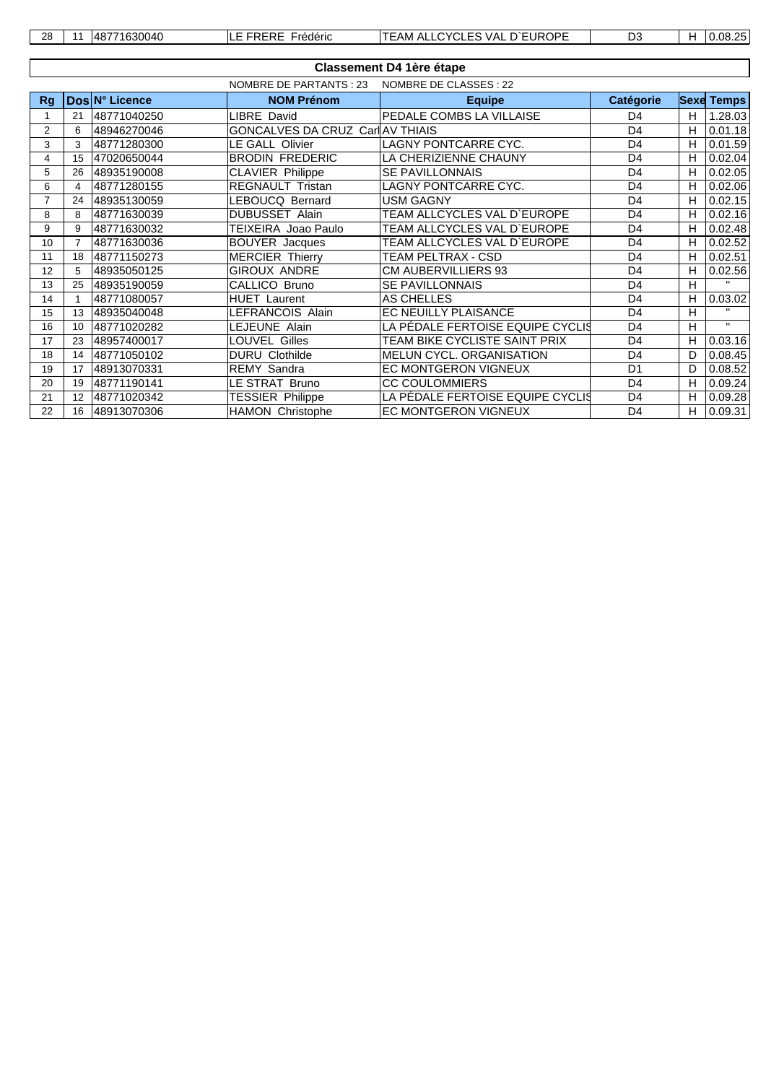| 28 | 3004C<br>л×<br>70 L | $\cdots$<br>rederic<br>$\cdot$ | EUROPE<br>$\sim$<br>$\sqrt{\Delta}$<br>ΆM<br>AL.<br>.v. vo<br><b>VAL</b> | $\mathbf{a}$<br>33. | ــ<br>- | ,, |
|----|---------------------|--------------------------------|--------------------------------------------------------------------------|---------------------|---------|----|
|    |                     |                                |                                                                          |                     |         |    |

|    | <b>Classement D4 1ère étape</b> |                |                                  |                                      |                  |    |                   |  |  |  |  |  |
|----|---------------------------------|----------------|----------------------------------|--------------------------------------|------------------|----|-------------------|--|--|--|--|--|
|    |                                 |                | NOMBRE DE PARTANTS : 23          | NOMBRE DE CLASSES : 22               |                  |    |                   |  |  |  |  |  |
| Rg |                                 | Dos N° Licence | <b>NOM Prénom</b>                | <b>Equipe</b>                        | <b>Catégorie</b> |    | <b>Sexe Temps</b> |  |  |  |  |  |
|    | 21                              | 48771040250    | <b>LIBRE David</b>               | PEDALE COMBS LA VILLAISE             | D4               | H. | 1.28.03           |  |  |  |  |  |
| 2  | 6                               | 48946270046    | GONCALVES DA CRUZ Carl AV THIAIS |                                      | D <sub>4</sub>   | H  | 0.01.18           |  |  |  |  |  |
| 3  | 3                               | 48771280300    | <b>LE GALL Olivier</b>           | LAGNY PONTCARRE CYC.                 | D <sub>4</sub>   | H. | 0.01.59           |  |  |  |  |  |
| 4  | 15                              | 47020650044    | <b>BRODIN FREDERIC</b>           | LA CHERIZIENNE CHAUNY                | D <sub>4</sub>   | H  | 0.02.04           |  |  |  |  |  |
| 5  | 26                              | 48935190008    | CLAVIER Philippe                 | <b>SE PAVILLONNAIS</b>               | D <sub>4</sub>   | H. | 0.02.05           |  |  |  |  |  |
| 6  | 4                               | 48771280155    | <b>REGNAULT Tristan</b>          | LAGNY PONTCARRE CYC.                 | D <sub>4</sub>   | H  | 0.02.06           |  |  |  |  |  |
|    | 24                              | 48935130059    | LEBOUCQ Bernard                  | USM GAGNY                            | D <sub>4</sub>   | H  | 0.02.15           |  |  |  |  |  |
| 8  | 8                               | 48771630039    | <b>DUBUSSET Alain</b>            | TEAM ALLCYCLES VAL D'EUROPE          | D <sub>4</sub>   | H  | 0.02.16           |  |  |  |  |  |
| 9  | 9                               | 48771630032    | TEIXEIRA Joao Paulo              | TEAM ALLCYCLES VAL D`EUROPE          | D <sub>4</sub>   | H  | 0.02.48           |  |  |  |  |  |
| 10 |                                 | 48771630036    | <b>BOUYER</b> Jacques            | TEAM ALLCYCLES VAL D`EUROPE          | D <sub>4</sub>   | H  | 0.02.52           |  |  |  |  |  |
| 11 | 18                              | 48771150273    | <b>MERCIER Thierry</b>           | TEAM PELTRAX - CSD                   | D <sub>4</sub>   | H  | 0.02.51           |  |  |  |  |  |
| 12 | 5                               | 48935050125    | <b>GIROUX ANDRE</b>              | <b>CM AUBERVILLIERS 93</b>           | D <sub>4</sub>   | H  | 0.02.56           |  |  |  |  |  |
| 13 | 25                              | 48935190059    | CALLICO Bruno                    | <b>SE PAVILLONNAIS</b>               | D <sub>4</sub>   | H  | $\mathbf{H}$      |  |  |  |  |  |
| 14 |                                 | 48771080057    | <b>HUET</b> Laurent              | AS CHELLES                           | D <sub>4</sub>   | H. | 0.03.02           |  |  |  |  |  |
| 15 | 13                              | 48935040048    | LEFRANCOIS Alain                 | EC NEUILLY PLAISANCE                 | D <sub>4</sub>   | H  |                   |  |  |  |  |  |
| 16 | 10                              | 48771020282    | LEJEUNE Alain                    | LA PÉDALE FERTOISE EQUIPE CYCLIS     | D <sub>4</sub>   | H  | $\mathbf{H}$      |  |  |  |  |  |
| 17 | 23                              | 48957400017    | LOUVEL Gilles                    | <b>TEAM BIKE CYCLISTE SAINT PRIX</b> | D <sub>4</sub>   | H  | 0.03.16           |  |  |  |  |  |
| 18 | 14                              | 48771050102    | <b>DURU Clothilde</b>            | <b>MELUN CYCL, ORGANISATION</b>      | D <sub>4</sub>   | D. | 0.08.45           |  |  |  |  |  |
| 19 | 17                              | 48913070331    | <b>REMY Sandra</b>               | <b>EC MONTGERON VIGNEUX</b>          | D <sub>1</sub>   | D  | 0.08.52           |  |  |  |  |  |
| 20 | 19                              | 48771190141    | LE STRAT Bruno                   | <b>CC COULOMMIERS</b>                | D <sub>4</sub>   | H  | 0.09.24           |  |  |  |  |  |
| 21 | 12                              | 48771020342    | <b>TESSIER Philippe</b>          | LA PÉDALE FERTOISE EQUIPE CYCLI§     | D <sub>4</sub>   | H  | 0.09.28           |  |  |  |  |  |
| 22 | 16                              | 48913070306    | HAMON Christophe                 | EC MONTGERON VIGNEUX                 | D <sub>4</sub>   | H. | 0.09.31           |  |  |  |  |  |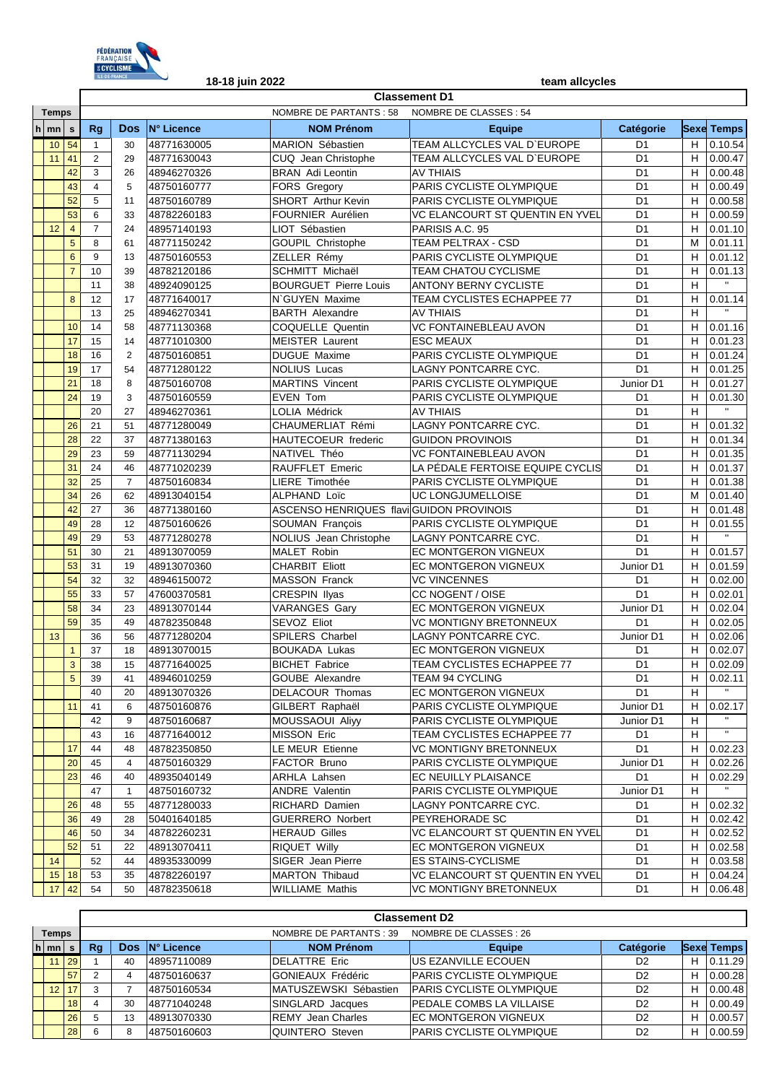

|             |                              | <b>Classement D1</b>                                                                                                                                                                            |                                                                                                                                                                                                    |                                                                                                                                                                                                                   |                                                                                                                                                                                                                                                                                                                                                                                                                                                                                                                                           |                                                                                                                                                                                                                                                                                                                                                                                                                                                                                                                                                                                                                                                                                                                                                   |                                                                                                                                                                                                                                                                                                                                                                                                                                                                                                                                                                                                                                                                                                                                                                                                                                                                                                                                        |                                                                                                                                                                                                                                                                                                                                                                                                                                                                                                                                                                                   |                                                                                                                                                                         |                         |
|-------------|------------------------------|-------------------------------------------------------------------------------------------------------------------------------------------------------------------------------------------------|----------------------------------------------------------------------------------------------------------------------------------------------------------------------------------------------------|-------------------------------------------------------------------------------------------------------------------------------------------------------------------------------------------------------------------|-------------------------------------------------------------------------------------------------------------------------------------------------------------------------------------------------------------------------------------------------------------------------------------------------------------------------------------------------------------------------------------------------------------------------------------------------------------------------------------------------------------------------------------------|---------------------------------------------------------------------------------------------------------------------------------------------------------------------------------------------------------------------------------------------------------------------------------------------------------------------------------------------------------------------------------------------------------------------------------------------------------------------------------------------------------------------------------------------------------------------------------------------------------------------------------------------------------------------------------------------------------------------------------------------------|----------------------------------------------------------------------------------------------------------------------------------------------------------------------------------------------------------------------------------------------------------------------------------------------------------------------------------------------------------------------------------------------------------------------------------------------------------------------------------------------------------------------------------------------------------------------------------------------------------------------------------------------------------------------------------------------------------------------------------------------------------------------------------------------------------------------------------------------------------------------------------------------------------------------------------------|-----------------------------------------------------------------------------------------------------------------------------------------------------------------------------------------------------------------------------------------------------------------------------------------------------------------------------------------------------------------------------------------------------------------------------------------------------------------------------------------------------------------------------------------------------------------------------------|-------------------------------------------------------------------------------------------------------------------------------------------------------------------------|-------------------------|
|             | <b>Temps</b>                 |                                                                                                                                                                                                 |                                                                                                                                                                                                    |                                                                                                                                                                                                                   |                                                                                                                                                                                                                                                                                                                                                                                                                                                                                                                                           | <b>NOMBRE DE PARTANTS: 58</b>                                                                                                                                                                                                                                                                                                                                                                                                                                                                                                                                                                                                                                                                                                                     | NOMBRE DE CLASSES : 54                                                                                                                                                                                                                                                                                                                                                                                                                                                                                                                                                                                                                                                                                                                                                                                                                                                                                                                 |                                                                                                                                                                                                                                                                                                                                                                                                                                                                                                                                                                                   |                                                                                                                                                                         |                         |
| $h \mid mn$ |                              | s                                                                                                                                                                                               | <b>Rg</b>                                                                                                                                                                                          | <b>Dos</b>                                                                                                                                                                                                        | <b>N° Licence</b>                                                                                                                                                                                                                                                                                                                                                                                                                                                                                                                         | <b>NOM Prénom</b>                                                                                                                                                                                                                                                                                                                                                                                                                                                                                                                                                                                                                                                                                                                                 | <b>Equipe</b>                                                                                                                                                                                                                                                                                                                                                                                                                                                                                                                                                                                                                                                                                                                                                                                                                                                                                                                          | Catégorie                                                                                                                                                                                                                                                                                                                                                                                                                                                                                                                                                                         |                                                                                                                                                                         | <b>Sexe Temps</b>       |
|             | 10 <sup>°</sup>              | 54                                                                                                                                                                                              | $\mathbf{1}$                                                                                                                                                                                       | 30                                                                                                                                                                                                                | 48771630005                                                                                                                                                                                                                                                                                                                                                                                                                                                                                                                               | MARION Sébastien                                                                                                                                                                                                                                                                                                                                                                                                                                                                                                                                                                                                                                                                                                                                  | TEAM ALLCYCLES VAL D'EUROPE                                                                                                                                                                                                                                                                                                                                                                                                                                                                                                                                                                                                                                                                                                                                                                                                                                                                                                            | D <sub>1</sub>                                                                                                                                                                                                                                                                                                                                                                                                                                                                                                                                                                    | H                                                                                                                                                                       | 0.10.54                 |
|             | 11                           | 41                                                                                                                                                                                              | $\overline{2}$                                                                                                                                                                                     | 29                                                                                                                                                                                                                | 48771630043                                                                                                                                                                                                                                                                                                                                                                                                                                                                                                                               | CUQ Jean Christophe                                                                                                                                                                                                                                                                                                                                                                                                                                                                                                                                                                                                                                                                                                                               | TEAM ALLCYCLES VAL D'EUROPE                                                                                                                                                                                                                                                                                                                                                                                                                                                                                                                                                                                                                                                                                                                                                                                                                                                                                                            | D <sub>1</sub>                                                                                                                                                                                                                                                                                                                                                                                                                                                                                                                                                                    | H                                                                                                                                                                       | 0.00.47                 |
|             |                              | 42                                                                                                                                                                                              | 3                                                                                                                                                                                                  | 26                                                                                                                                                                                                                | 48946270326                                                                                                                                                                                                                                                                                                                                                                                                                                                                                                                               | <b>BRAN</b> Adi Leontin                                                                                                                                                                                                                                                                                                                                                                                                                                                                                                                                                                                                                                                                                                                           | <b>AV THIAIS</b>                                                                                                                                                                                                                                                                                                                                                                                                                                                                                                                                                                                                                                                                                                                                                                                                                                                                                                                       | D <sub>1</sub>                                                                                                                                                                                                                                                                                                                                                                                                                                                                                                                                                                    | H                                                                                                                                                                       | 0.00.48                 |
|             |                              | 43                                                                                                                                                                                              | $\overline{4}$                                                                                                                                                                                     | 5                                                                                                                                                                                                                 | 48750160777                                                                                                                                                                                                                                                                                                                                                                                                                                                                                                                               | FORS Gregory                                                                                                                                                                                                                                                                                                                                                                                                                                                                                                                                                                                                                                                                                                                                      | PARIS CYCLISTE OLYMPIQUE                                                                                                                                                                                                                                                                                                                                                                                                                                                                                                                                                                                                                                                                                                                                                                                                                                                                                                               | D <sub>1</sub>                                                                                                                                                                                                                                                                                                                                                                                                                                                                                                                                                                    | H                                                                                                                                                                       | 0.00.49                 |
|             |                              | 52                                                                                                                                                                                              | 5                                                                                                                                                                                                  | 11                                                                                                                                                                                                                | 48750160789                                                                                                                                                                                                                                                                                                                                                                                                                                                                                                                               | SHORT Arthur Kevin                                                                                                                                                                                                                                                                                                                                                                                                                                                                                                                                                                                                                                                                                                                                | PARIS CYCLISTE OLYMPIQUE                                                                                                                                                                                                                                                                                                                                                                                                                                                                                                                                                                                                                                                                                                                                                                                                                                                                                                               | D <sub>1</sub>                                                                                                                                                                                                                                                                                                                                                                                                                                                                                                                                                                    | Н                                                                                                                                                                       | 0.00.58                 |
|             |                              | 53                                                                                                                                                                                              | 6                                                                                                                                                                                                  | 33                                                                                                                                                                                                                | 48782260183                                                                                                                                                                                                                                                                                                                                                                                                                                                                                                                               | FOURNIER Aurélien                                                                                                                                                                                                                                                                                                                                                                                                                                                                                                                                                                                                                                                                                                                                 | VC ELANCOURT ST QUENTIN EN YVEL                                                                                                                                                                                                                                                                                                                                                                                                                                                                                                                                                                                                                                                                                                                                                                                                                                                                                                        | D <sub>1</sub>                                                                                                                                                                                                                                                                                                                                                                                                                                                                                                                                                                    | H                                                                                                                                                                       | 0.00.59                 |
|             | 12                           | $\overline{4}$                                                                                                                                                                                  | $\overline{7}$                                                                                                                                                                                     | 24                                                                                                                                                                                                                | 48957140193                                                                                                                                                                                                                                                                                                                                                                                                                                                                                                                               | LIOT Sébastien                                                                                                                                                                                                                                                                                                                                                                                                                                                                                                                                                                                                                                                                                                                                    | PARISIS A.C. 95                                                                                                                                                                                                                                                                                                                                                                                                                                                                                                                                                                                                                                                                                                                                                                                                                                                                                                                        | D <sub>1</sub>                                                                                                                                                                                                                                                                                                                                                                                                                                                                                                                                                                    | H                                                                                                                                                                       | 0.01.10                 |
|             |                              | 5                                                                                                                                                                                               | 8                                                                                                                                                                                                  | 61                                                                                                                                                                                                                | 48771150242                                                                                                                                                                                                                                                                                                                                                                                                                                                                                                                               | GOUPIL Christophe                                                                                                                                                                                                                                                                                                                                                                                                                                                                                                                                                                                                                                                                                                                                 | TEAM PELTRAX - CSD                                                                                                                                                                                                                                                                                                                                                                                                                                                                                                                                                                                                                                                                                                                                                                                                                                                                                                                     | D <sub>1</sub>                                                                                                                                                                                                                                                                                                                                                                                                                                                                                                                                                                    | M                                                                                                                                                                       | 0.01.11                 |
|             |                              | 6                                                                                                                                                                                               | 9                                                                                                                                                                                                  | 13                                                                                                                                                                                                                | 48750160553                                                                                                                                                                                                                                                                                                                                                                                                                                                                                                                               | ZELLER Rémy                                                                                                                                                                                                                                                                                                                                                                                                                                                                                                                                                                                                                                                                                                                                       | PARIS CYCLISTE OLYMPIQUE                                                                                                                                                                                                                                                                                                                                                                                                                                                                                                                                                                                                                                                                                                                                                                                                                                                                                                               | D <sub>1</sub>                                                                                                                                                                                                                                                                                                                                                                                                                                                                                                                                                                    | H                                                                                                                                                                       | 0.01.12                 |
|             |                              | $\overline{7}$                                                                                                                                                                                  | 10                                                                                                                                                                                                 | 39                                                                                                                                                                                                                | 48782120186                                                                                                                                                                                                                                                                                                                                                                                                                                                                                                                               | <b>SCHMITT Michaël</b>                                                                                                                                                                                                                                                                                                                                                                                                                                                                                                                                                                                                                                                                                                                            | <b>TEAM CHATOU CYCLISME</b>                                                                                                                                                                                                                                                                                                                                                                                                                                                                                                                                                                                                                                                                                                                                                                                                                                                                                                            | D <sub>1</sub>                                                                                                                                                                                                                                                                                                                                                                                                                                                                                                                                                                    | H                                                                                                                                                                       | 0.01.13                 |
|             |                              |                                                                                                                                                                                                 | 11                                                                                                                                                                                                 | 38                                                                                                                                                                                                                | 48924090125                                                                                                                                                                                                                                                                                                                                                                                                                                                                                                                               | <b>BOURGUET Pierre Louis</b>                                                                                                                                                                                                                                                                                                                                                                                                                                                                                                                                                                                                                                                                                                                      | <b>ANTONY BERNY CYCLISTE</b>                                                                                                                                                                                                                                                                                                                                                                                                                                                                                                                                                                                                                                                                                                                                                                                                                                                                                                           | D <sub>1</sub>                                                                                                                                                                                                                                                                                                                                                                                                                                                                                                                                                                    | H                                                                                                                                                                       |                         |
|             |                              | 8                                                                                                                                                                                               | 12                                                                                                                                                                                                 | 17                                                                                                                                                                                                                | 48771640017                                                                                                                                                                                                                                                                                                                                                                                                                                                                                                                               | N'GUYEN Maxime                                                                                                                                                                                                                                                                                                                                                                                                                                                                                                                                                                                                                                                                                                                                    | TEAM CYCLISTES ECHAPPEE 77                                                                                                                                                                                                                                                                                                                                                                                                                                                                                                                                                                                                                                                                                                                                                                                                                                                                                                             | D <sub>1</sub>                                                                                                                                                                                                                                                                                                                                                                                                                                                                                                                                                                    | H                                                                                                                                                                       | 0.01.14                 |
|             |                              |                                                                                                                                                                                                 | 13                                                                                                                                                                                                 | 25                                                                                                                                                                                                                | 48946270341                                                                                                                                                                                                                                                                                                                                                                                                                                                                                                                               | <b>BARTH Alexandre</b>                                                                                                                                                                                                                                                                                                                                                                                                                                                                                                                                                                                                                                                                                                                            | <b>AV THIAIS</b>                                                                                                                                                                                                                                                                                                                                                                                                                                                                                                                                                                                                                                                                                                                                                                                                                                                                                                                       | D <sub>1</sub>                                                                                                                                                                                                                                                                                                                                                                                                                                                                                                                                                                    | H                                                                                                                                                                       |                         |
|             |                              | 10                                                                                                                                                                                              | 14                                                                                                                                                                                                 | 58                                                                                                                                                                                                                | 48771130368                                                                                                                                                                                                                                                                                                                                                                                                                                                                                                                               | COQUELLE Quentin                                                                                                                                                                                                                                                                                                                                                                                                                                                                                                                                                                                                                                                                                                                                  | VC FONTAINEBLEAU AVON                                                                                                                                                                                                                                                                                                                                                                                                                                                                                                                                                                                                                                                                                                                                                                                                                                                                                                                  | D <sub>1</sub>                                                                                                                                                                                                                                                                                                                                                                                                                                                                                                                                                                    | H                                                                                                                                                                       | 0.01.16                 |
|             |                              | 17                                                                                                                                                                                              | 15                                                                                                                                                                                                 | 14                                                                                                                                                                                                                | 48771010300                                                                                                                                                                                                                                                                                                                                                                                                                                                                                                                               | <b>MEISTER Laurent</b>                                                                                                                                                                                                                                                                                                                                                                                                                                                                                                                                                                                                                                                                                                                            | <b>ESC MEAUX</b>                                                                                                                                                                                                                                                                                                                                                                                                                                                                                                                                                                                                                                                                                                                                                                                                                                                                                                                       | D <sub>1</sub>                                                                                                                                                                                                                                                                                                                                                                                                                                                                                                                                                                    | H                                                                                                                                                                       | 0.01.23                 |
|             |                              | 18                                                                                                                                                                                              | 16                                                                                                                                                                                                 | $\overline{2}$                                                                                                                                                                                                    | 48750160851                                                                                                                                                                                                                                                                                                                                                                                                                                                                                                                               | <b>DUGUE Maxime</b>                                                                                                                                                                                                                                                                                                                                                                                                                                                                                                                                                                                                                                                                                                                               | PARIS CYCLISTE OLYMPIQUE                                                                                                                                                                                                                                                                                                                                                                                                                                                                                                                                                                                                                                                                                                                                                                                                                                                                                                               | D <sub>1</sub>                                                                                                                                                                                                                                                                                                                                                                                                                                                                                                                                                                    | H                                                                                                                                                                       | 0.01.24                 |
|             |                              | 19                                                                                                                                                                                              | 17                                                                                                                                                                                                 | 54                                                                                                                                                                                                                | 48771280122                                                                                                                                                                                                                                                                                                                                                                                                                                                                                                                               | <b>NOLIUS Lucas</b>                                                                                                                                                                                                                                                                                                                                                                                                                                                                                                                                                                                                                                                                                                                               | LAGNY PONTCARRE CYC.                                                                                                                                                                                                                                                                                                                                                                                                                                                                                                                                                                                                                                                                                                                                                                                                                                                                                                                   | D <sub>1</sub>                                                                                                                                                                                                                                                                                                                                                                                                                                                                                                                                                                    | H                                                                                                                                                                       | 0.01.25                 |
|             |                              | 21                                                                                                                                                                                              | 18                                                                                                                                                                                                 | 8                                                                                                                                                                                                                 | 48750160708                                                                                                                                                                                                                                                                                                                                                                                                                                                                                                                               | <b>MARTINS Vincent</b>                                                                                                                                                                                                                                                                                                                                                                                                                                                                                                                                                                                                                                                                                                                            | PARIS CYCLISTE OLYMPIQUE                                                                                                                                                                                                                                                                                                                                                                                                                                                                                                                                                                                                                                                                                                                                                                                                                                                                                                               | Junior D1                                                                                                                                                                                                                                                                                                                                                                                                                                                                                                                                                                         | H                                                                                                                                                                       | 0.01.27                 |
|             |                              | 24                                                                                                                                                                                              | 19                                                                                                                                                                                                 | 3                                                                                                                                                                                                                 | 48750160559                                                                                                                                                                                                                                                                                                                                                                                                                                                                                                                               | <b>EVEN Tom</b>                                                                                                                                                                                                                                                                                                                                                                                                                                                                                                                                                                                                                                                                                                                                   | PARIS CYCLISTE OLYMPIQUE                                                                                                                                                                                                                                                                                                                                                                                                                                                                                                                                                                                                                                                                                                                                                                                                                                                                                                               | D <sub>1</sub>                                                                                                                                                                                                                                                                                                                                                                                                                                                                                                                                                                    | H                                                                                                                                                                       | 0.01.30                 |
|             |                              |                                                                                                                                                                                                 |                                                                                                                                                                                                    |                                                                                                                                                                                                                   |                                                                                                                                                                                                                                                                                                                                                                                                                                                                                                                                           |                                                                                                                                                                                                                                                                                                                                                                                                                                                                                                                                                                                                                                                                                                                                                   |                                                                                                                                                                                                                                                                                                                                                                                                                                                                                                                                                                                                                                                                                                                                                                                                                                                                                                                                        |                                                                                                                                                                                                                                                                                                                                                                                                                                                                                                                                                                                   |                                                                                                                                                                         | $\mathbf{H}$            |
|             |                              |                                                                                                                                                                                                 |                                                                                                                                                                                                    |                                                                                                                                                                                                                   |                                                                                                                                                                                                                                                                                                                                                                                                                                                                                                                                           |                                                                                                                                                                                                                                                                                                                                                                                                                                                                                                                                                                                                                                                                                                                                                   |                                                                                                                                                                                                                                                                                                                                                                                                                                                                                                                                                                                                                                                                                                                                                                                                                                                                                                                                        |                                                                                                                                                                                                                                                                                                                                                                                                                                                                                                                                                                                   |                                                                                                                                                                         | 0.01.32                 |
|             |                              |                                                                                                                                                                                                 |                                                                                                                                                                                                    |                                                                                                                                                                                                                   |                                                                                                                                                                                                                                                                                                                                                                                                                                                                                                                                           |                                                                                                                                                                                                                                                                                                                                                                                                                                                                                                                                                                                                                                                                                                                                                   |                                                                                                                                                                                                                                                                                                                                                                                                                                                                                                                                                                                                                                                                                                                                                                                                                                                                                                                                        |                                                                                                                                                                                                                                                                                                                                                                                                                                                                                                                                                                                   |                                                                                                                                                                         | 0.01.34                 |
|             |                              |                                                                                                                                                                                                 |                                                                                                                                                                                                    |                                                                                                                                                                                                                   |                                                                                                                                                                                                                                                                                                                                                                                                                                                                                                                                           |                                                                                                                                                                                                                                                                                                                                                                                                                                                                                                                                                                                                                                                                                                                                                   |                                                                                                                                                                                                                                                                                                                                                                                                                                                                                                                                                                                                                                                                                                                                                                                                                                                                                                                                        |                                                                                                                                                                                                                                                                                                                                                                                                                                                                                                                                                                                   |                                                                                                                                                                         | 0.01.35                 |
|             |                              |                                                                                                                                                                                                 |                                                                                                                                                                                                    |                                                                                                                                                                                                                   |                                                                                                                                                                                                                                                                                                                                                                                                                                                                                                                                           |                                                                                                                                                                                                                                                                                                                                                                                                                                                                                                                                                                                                                                                                                                                                                   |                                                                                                                                                                                                                                                                                                                                                                                                                                                                                                                                                                                                                                                                                                                                                                                                                                                                                                                                        |                                                                                                                                                                                                                                                                                                                                                                                                                                                                                                                                                                                   |                                                                                                                                                                         | 0.01.37                 |
|             |                              |                                                                                                                                                                                                 |                                                                                                                                                                                                    |                                                                                                                                                                                                                   |                                                                                                                                                                                                                                                                                                                                                                                                                                                                                                                                           |                                                                                                                                                                                                                                                                                                                                                                                                                                                                                                                                                                                                                                                                                                                                                   |                                                                                                                                                                                                                                                                                                                                                                                                                                                                                                                                                                                                                                                                                                                                                                                                                                                                                                                                        |                                                                                                                                                                                                                                                                                                                                                                                                                                                                                                                                                                                   |                                                                                                                                                                         | 0.01.38                 |
|             |                              |                                                                                                                                                                                                 |                                                                                                                                                                                                    |                                                                                                                                                                                                                   |                                                                                                                                                                                                                                                                                                                                                                                                                                                                                                                                           |                                                                                                                                                                                                                                                                                                                                                                                                                                                                                                                                                                                                                                                                                                                                                   |                                                                                                                                                                                                                                                                                                                                                                                                                                                                                                                                                                                                                                                                                                                                                                                                                                                                                                                                        |                                                                                                                                                                                                                                                                                                                                                                                                                                                                                                                                                                                   |                                                                                                                                                                         | 0.01.40                 |
|             |                              |                                                                                                                                                                                                 |                                                                                                                                                                                                    |                                                                                                                                                                                                                   |                                                                                                                                                                                                                                                                                                                                                                                                                                                                                                                                           |                                                                                                                                                                                                                                                                                                                                                                                                                                                                                                                                                                                                                                                                                                                                                   |                                                                                                                                                                                                                                                                                                                                                                                                                                                                                                                                                                                                                                                                                                                                                                                                                                                                                                                                        |                                                                                                                                                                                                                                                                                                                                                                                                                                                                                                                                                                                   |                                                                                                                                                                         | 0.01.48                 |
|             |                              |                                                                                                                                                                                                 |                                                                                                                                                                                                    |                                                                                                                                                                                                                   |                                                                                                                                                                                                                                                                                                                                                                                                                                                                                                                                           |                                                                                                                                                                                                                                                                                                                                                                                                                                                                                                                                                                                                                                                                                                                                                   |                                                                                                                                                                                                                                                                                                                                                                                                                                                                                                                                                                                                                                                                                                                                                                                                                                                                                                                                        |                                                                                                                                                                                                                                                                                                                                                                                                                                                                                                                                                                                   |                                                                                                                                                                         | 0.01.55<br>$\mathbf{H}$ |
|             |                              |                                                                                                                                                                                                 |                                                                                                                                                                                                    |                                                                                                                                                                                                                   |                                                                                                                                                                                                                                                                                                                                                                                                                                                                                                                                           |                                                                                                                                                                                                                                                                                                                                                                                                                                                                                                                                                                                                                                                                                                                                                   |                                                                                                                                                                                                                                                                                                                                                                                                                                                                                                                                                                                                                                                                                                                                                                                                                                                                                                                                        |                                                                                                                                                                                                                                                                                                                                                                                                                                                                                                                                                                                   |                                                                                                                                                                         |                         |
|             |                              |                                                                                                                                                                                                 |                                                                                                                                                                                                    |                                                                                                                                                                                                                   |                                                                                                                                                                                                                                                                                                                                                                                                                                                                                                                                           |                                                                                                                                                                                                                                                                                                                                                                                                                                                                                                                                                                                                                                                                                                                                                   |                                                                                                                                                                                                                                                                                                                                                                                                                                                                                                                                                                                                                                                                                                                                                                                                                                                                                                                                        |                                                                                                                                                                                                                                                                                                                                                                                                                                                                                                                                                                                   |                                                                                                                                                                         | 0.01.57                 |
|             |                              |                                                                                                                                                                                                 |                                                                                                                                                                                                    |                                                                                                                                                                                                                   |                                                                                                                                                                                                                                                                                                                                                                                                                                                                                                                                           |                                                                                                                                                                                                                                                                                                                                                                                                                                                                                                                                                                                                                                                                                                                                                   |                                                                                                                                                                                                                                                                                                                                                                                                                                                                                                                                                                                                                                                                                                                                                                                                                                                                                                                                        |                                                                                                                                                                                                                                                                                                                                                                                                                                                                                                                                                                                   |                                                                                                                                                                         | 0.01.59                 |
|             |                              |                                                                                                                                                                                                 |                                                                                                                                                                                                    |                                                                                                                                                                                                                   |                                                                                                                                                                                                                                                                                                                                                                                                                                                                                                                                           |                                                                                                                                                                                                                                                                                                                                                                                                                                                                                                                                                                                                                                                                                                                                                   |                                                                                                                                                                                                                                                                                                                                                                                                                                                                                                                                                                                                                                                                                                                                                                                                                                                                                                                                        |                                                                                                                                                                                                                                                                                                                                                                                                                                                                                                                                                                                   |                                                                                                                                                                         | 0.02.00                 |
|             |                              |                                                                                                                                                                                                 |                                                                                                                                                                                                    |                                                                                                                                                                                                                   |                                                                                                                                                                                                                                                                                                                                                                                                                                                                                                                                           |                                                                                                                                                                                                                                                                                                                                                                                                                                                                                                                                                                                                                                                                                                                                                   |                                                                                                                                                                                                                                                                                                                                                                                                                                                                                                                                                                                                                                                                                                                                                                                                                                                                                                                                        |                                                                                                                                                                                                                                                                                                                                                                                                                                                                                                                                                                                   |                                                                                                                                                                         | 0.02.01<br>0.02.04      |
|             |                              |                                                                                                                                                                                                 |                                                                                                                                                                                                    |                                                                                                                                                                                                                   |                                                                                                                                                                                                                                                                                                                                                                                                                                                                                                                                           |                                                                                                                                                                                                                                                                                                                                                                                                                                                                                                                                                                                                                                                                                                                                                   |                                                                                                                                                                                                                                                                                                                                                                                                                                                                                                                                                                                                                                                                                                                                                                                                                                                                                                                                        |                                                                                                                                                                                                                                                                                                                                                                                                                                                                                                                                                                                   |                                                                                                                                                                         | 0.02.05                 |
|             |                              |                                                                                                                                                                                                 |                                                                                                                                                                                                    |                                                                                                                                                                                                                   |                                                                                                                                                                                                                                                                                                                                                                                                                                                                                                                                           |                                                                                                                                                                                                                                                                                                                                                                                                                                                                                                                                                                                                                                                                                                                                                   |                                                                                                                                                                                                                                                                                                                                                                                                                                                                                                                                                                                                                                                                                                                                                                                                                                                                                                                                        |                                                                                                                                                                                                                                                                                                                                                                                                                                                                                                                                                                                   |                                                                                                                                                                         | 0.02.06                 |
|             |                              |                                                                                                                                                                                                 |                                                                                                                                                                                                    |                                                                                                                                                                                                                   |                                                                                                                                                                                                                                                                                                                                                                                                                                                                                                                                           |                                                                                                                                                                                                                                                                                                                                                                                                                                                                                                                                                                                                                                                                                                                                                   |                                                                                                                                                                                                                                                                                                                                                                                                                                                                                                                                                                                                                                                                                                                                                                                                                                                                                                                                        |                                                                                                                                                                                                                                                                                                                                                                                                                                                                                                                                                                                   |                                                                                                                                                                         | 0.02.07                 |
|             |                              |                                                                                                                                                                                                 |                                                                                                                                                                                                    |                                                                                                                                                                                                                   |                                                                                                                                                                                                                                                                                                                                                                                                                                                                                                                                           |                                                                                                                                                                                                                                                                                                                                                                                                                                                                                                                                                                                                                                                                                                                                                   |                                                                                                                                                                                                                                                                                                                                                                                                                                                                                                                                                                                                                                                                                                                                                                                                                                                                                                                                        |                                                                                                                                                                                                                                                                                                                                                                                                                                                                                                                                                                                   |                                                                                                                                                                         | 0.02.09                 |
|             |                              |                                                                                                                                                                                                 |                                                                                                                                                                                                    |                                                                                                                                                                                                                   |                                                                                                                                                                                                                                                                                                                                                                                                                                                                                                                                           |                                                                                                                                                                                                                                                                                                                                                                                                                                                                                                                                                                                                                                                                                                                                                   |                                                                                                                                                                                                                                                                                                                                                                                                                                                                                                                                                                                                                                                                                                                                                                                                                                                                                                                                        |                                                                                                                                                                                                                                                                                                                                                                                                                                                                                                                                                                                   |                                                                                                                                                                         | 0.02.11                 |
|             |                              |                                                                                                                                                                                                 |                                                                                                                                                                                                    |                                                                                                                                                                                                                   |                                                                                                                                                                                                                                                                                                                                                                                                                                                                                                                                           |                                                                                                                                                                                                                                                                                                                                                                                                                                                                                                                                                                                                                                                                                                                                                   |                                                                                                                                                                                                                                                                                                                                                                                                                                                                                                                                                                                                                                                                                                                                                                                                                                                                                                                                        |                                                                                                                                                                                                                                                                                                                                                                                                                                                                                                                                                                                   |                                                                                                                                                                         |                         |
|             |                              |                                                                                                                                                                                                 |                                                                                                                                                                                                    |                                                                                                                                                                                                                   |                                                                                                                                                                                                                                                                                                                                                                                                                                                                                                                                           |                                                                                                                                                                                                                                                                                                                                                                                                                                                                                                                                                                                                                                                                                                                                                   |                                                                                                                                                                                                                                                                                                                                                                                                                                                                                                                                                                                                                                                                                                                                                                                                                                                                                                                                        |                                                                                                                                                                                                                                                                                                                                                                                                                                                                                                                                                                                   |                                                                                                                                                                         | 0.02.17                 |
|             |                              |                                                                                                                                                                                                 |                                                                                                                                                                                                    |                                                                                                                                                                                                                   |                                                                                                                                                                                                                                                                                                                                                                                                                                                                                                                                           |                                                                                                                                                                                                                                                                                                                                                                                                                                                                                                                                                                                                                                                                                                                                                   |                                                                                                                                                                                                                                                                                                                                                                                                                                                                                                                                                                                                                                                                                                                                                                                                                                                                                                                                        |                                                                                                                                                                                                                                                                                                                                                                                                                                                                                                                                                                                   |                                                                                                                                                                         |                         |
|             |                              |                                                                                                                                                                                                 |                                                                                                                                                                                                    |                                                                                                                                                                                                                   |                                                                                                                                                                                                                                                                                                                                                                                                                                                                                                                                           |                                                                                                                                                                                                                                                                                                                                                                                                                                                                                                                                                                                                                                                                                                                                                   |                                                                                                                                                                                                                                                                                                                                                                                                                                                                                                                                                                                                                                                                                                                                                                                                                                                                                                                                        |                                                                                                                                                                                                                                                                                                                                                                                                                                                                                                                                                                                   |                                                                                                                                                                         |                         |
|             |                              |                                                                                                                                                                                                 |                                                                                                                                                                                                    |                                                                                                                                                                                                                   |                                                                                                                                                                                                                                                                                                                                                                                                                                                                                                                                           |                                                                                                                                                                                                                                                                                                                                                                                                                                                                                                                                                                                                                                                                                                                                                   |                                                                                                                                                                                                                                                                                                                                                                                                                                                                                                                                                                                                                                                                                                                                                                                                                                                                                                                                        |                                                                                                                                                                                                                                                                                                                                                                                                                                                                                                                                                                                   |                                                                                                                                                                         | 0.02.23                 |
|             |                              |                                                                                                                                                                                                 |                                                                                                                                                                                                    |                                                                                                                                                                                                                   |                                                                                                                                                                                                                                                                                                                                                                                                                                                                                                                                           |                                                                                                                                                                                                                                                                                                                                                                                                                                                                                                                                                                                                                                                                                                                                                   |                                                                                                                                                                                                                                                                                                                                                                                                                                                                                                                                                                                                                                                                                                                                                                                                                                                                                                                                        |                                                                                                                                                                                                                                                                                                                                                                                                                                                                                                                                                                                   |                                                                                                                                                                         | 0.02.26                 |
|             |                              |                                                                                                                                                                                                 |                                                                                                                                                                                                    |                                                                                                                                                                                                                   |                                                                                                                                                                                                                                                                                                                                                                                                                                                                                                                                           |                                                                                                                                                                                                                                                                                                                                                                                                                                                                                                                                                                                                                                                                                                                                                   |                                                                                                                                                                                                                                                                                                                                                                                                                                                                                                                                                                                                                                                                                                                                                                                                                                                                                                                                        |                                                                                                                                                                                                                                                                                                                                                                                                                                                                                                                                                                                   |                                                                                                                                                                         | 0.02.29                 |
|             |                              |                                                                                                                                                                                                 |                                                                                                                                                                                                    |                                                                                                                                                                                                                   |                                                                                                                                                                                                                                                                                                                                                                                                                                                                                                                                           |                                                                                                                                                                                                                                                                                                                                                                                                                                                                                                                                                                                                                                                                                                                                                   |                                                                                                                                                                                                                                                                                                                                                                                                                                                                                                                                                                                                                                                                                                                                                                                                                                                                                                                                        |                                                                                                                                                                                                                                                                                                                                                                                                                                                                                                                                                                                   |                                                                                                                                                                         |                         |
|             |                              |                                                                                                                                                                                                 |                                                                                                                                                                                                    |                                                                                                                                                                                                                   |                                                                                                                                                                                                                                                                                                                                                                                                                                                                                                                                           |                                                                                                                                                                                                                                                                                                                                                                                                                                                                                                                                                                                                                                                                                                                                                   |                                                                                                                                                                                                                                                                                                                                                                                                                                                                                                                                                                                                                                                                                                                                                                                                                                                                                                                                        |                                                                                                                                                                                                                                                                                                                                                                                                                                                                                                                                                                                   |                                                                                                                                                                         | 0.02.32                 |
|             |                              |                                                                                                                                                                                                 |                                                                                                                                                                                                    |                                                                                                                                                                                                                   |                                                                                                                                                                                                                                                                                                                                                                                                                                                                                                                                           |                                                                                                                                                                                                                                                                                                                                                                                                                                                                                                                                                                                                                                                                                                                                                   |                                                                                                                                                                                                                                                                                                                                                                                                                                                                                                                                                                                                                                                                                                                                                                                                                                                                                                                                        |                                                                                                                                                                                                                                                                                                                                                                                                                                                                                                                                                                                   |                                                                                                                                                                         | 0.02.42                 |
|             |                              |                                                                                                                                                                                                 |                                                                                                                                                                                                    |                                                                                                                                                                                                                   |                                                                                                                                                                                                                                                                                                                                                                                                                                                                                                                                           |                                                                                                                                                                                                                                                                                                                                                                                                                                                                                                                                                                                                                                                                                                                                                   |                                                                                                                                                                                                                                                                                                                                                                                                                                                                                                                                                                                                                                                                                                                                                                                                                                                                                                                                        |                                                                                                                                                                                                                                                                                                                                                                                                                                                                                                                                                                                   |                                                                                                                                                                         | 0.02.52                 |
|             |                              |                                                                                                                                                                                                 |                                                                                                                                                                                                    |                                                                                                                                                                                                                   |                                                                                                                                                                                                                                                                                                                                                                                                                                                                                                                                           |                                                                                                                                                                                                                                                                                                                                                                                                                                                                                                                                                                                                                                                                                                                                                   |                                                                                                                                                                                                                                                                                                                                                                                                                                                                                                                                                                                                                                                                                                                                                                                                                                                                                                                                        |                                                                                                                                                                                                                                                                                                                                                                                                                                                                                                                                                                                   |                                                                                                                                                                         | 0.02.58                 |
|             |                              |                                                                                                                                                                                                 | 52                                                                                                                                                                                                 | 44                                                                                                                                                                                                                |                                                                                                                                                                                                                                                                                                                                                                                                                                                                                                                                           |                                                                                                                                                                                                                                                                                                                                                                                                                                                                                                                                                                                                                                                                                                                                                   |                                                                                                                                                                                                                                                                                                                                                                                                                                                                                                                                                                                                                                                                                                                                                                                                                                                                                                                                        |                                                                                                                                                                                                                                                                                                                                                                                                                                                                                                                                                                                   |                                                                                                                                                                         | 0.03.58                 |
|             |                              |                                                                                                                                                                                                 |                                                                                                                                                                                                    | 35                                                                                                                                                                                                                |                                                                                                                                                                                                                                                                                                                                                                                                                                                                                                                                           |                                                                                                                                                                                                                                                                                                                                                                                                                                                                                                                                                                                                                                                                                                                                                   |                                                                                                                                                                                                                                                                                                                                                                                                                                                                                                                                                                                                                                                                                                                                                                                                                                                                                                                                        |                                                                                                                                                                                                                                                                                                                                                                                                                                                                                                                                                                                   |                                                                                                                                                                         | 0.04.24                 |
|             | 17                           | 42                                                                                                                                                                                              | 54                                                                                                                                                                                                 | 50                                                                                                                                                                                                                |                                                                                                                                                                                                                                                                                                                                                                                                                                                                                                                                           | WILLIAME Mathis                                                                                                                                                                                                                                                                                                                                                                                                                                                                                                                                                                                                                                                                                                                                   |                                                                                                                                                                                                                                                                                                                                                                                                                                                                                                                                                                                                                                                                                                                                                                                                                                                                                                                                        | D1                                                                                                                                                                                                                                                                                                                                                                                                                                                                                                                                                                                | H                                                                                                                                                                       | 0.06.48                 |
|             | 13<br>14<br>15 <sub>15</sub> | 26<br>28<br>29<br>31<br>32<br>34<br>42<br>49<br>49<br>51<br>53<br>54<br>55<br>58<br>59<br>$\mathbf{1}$<br>$\mathbf{3}$<br>$5\phantom{.0}$<br>11<br>17<br>20<br>23<br>26<br>36<br>46<br>52<br>18 | 20<br>21<br>22<br>23<br>24<br>25<br>26<br>27<br>28<br>29<br>30<br>31<br>32<br>33<br>34<br>35<br>36<br>37<br>38<br>39<br>40<br>41<br>42<br>43<br>44<br>45<br>46<br>47<br>48<br>49<br>50<br>51<br>53 | 27<br>51<br>37<br>59<br>46<br>$\overline{7}$<br>62<br>36<br>12<br>53<br>21<br>19<br>32<br>57<br>23<br>49<br>56<br>18<br>15<br>41<br>20<br>6<br>9<br>16<br>48<br>4<br>40<br>$\overline{1}$<br>55<br>28<br>34<br>22 | 48946270361<br>48771280049<br>48771380163<br>48771130294<br>48771020239<br>48750160834<br>48913040154<br>48771380160<br>48750160626<br>48771280278<br>48913070059<br>48913070360<br>48946150072<br>47600370581<br>48913070144<br>48782350848<br>48771280204<br>48913070015<br>48771640025<br>48946010259<br>48913070326<br>48750160876<br>48750160687<br>48771640012<br>48782350850<br>48750160329<br>48935040149<br>48750160732<br>48771280033<br>50401640185<br>48782260231<br>48913070411<br>48935330099<br>48782260197<br>48782350618 | LOLIA Médrick<br>CHAUMERLIAT Rémi<br>HAUTECOEUR frederic<br>NATIVEL Théo<br>RAUFFLET Emeric<br>LIERE Timothée<br>ALPHAND Loïc<br>ASCENSO HENRIQUES flavi GUIDON PROVINOIS<br>SOUMAN François<br><b>NOLIUS</b> Jean Christophe<br>MALET Robin<br><b>CHARBIT Eliott</b><br><b>MASSON Franck</b><br><b>CRESPIN Ilyas</b><br><b>VARANGES Gary</b><br>SEVOZ Eliot<br>SPILERS Charbel<br><b>BOUKADA Lukas</b><br><b>BICHET Fabrice</b><br>GOUBE Alexandre<br><b>DELACOUR Thomas</b><br>GILBERT Raphaël<br>MOUSSAOUI Alivy<br>MISSON Eric<br>LE MEUR Etienne<br>FACTOR Bruno<br>ARHLA Lahsen<br><b>ANDRE Valentin</b><br>RICHARD Damien<br><b>GUERRERO Norbert</b><br><b>HERAUD Gilles</b><br>RIQUET Willy<br>SIGER Jean Pierre<br><b>MARTON Thibaud</b> | <b>AV THIAIS</b><br><b>LAGNY PONTCARRE CYC.</b><br><b>GUIDON PROVINOIS</b><br><b>VC FONTAINEBLEAU AVON</b><br>LA PÉDALE FERTOISE EQUIPE CYCLIS<br>PARIS CYCLISTE OLYMPIQUE<br>UC LONGJUMELLOISE<br>PARIS CYCLISTE OLYMPIQUE<br>LAGNY PONTCARRE CYC.<br>EC MONTGERON VIGNEUX<br>EC MONTGERON VIGNEUX<br><b>VC VINCENNES</b><br><b>CC NOGENT / OISE</b><br>EC MONTGERON VIGNEUX<br><b>VC MONTIGNY BRETONNEUX</b><br>LAGNY PONTCARRE CYC.<br>EC MONTGERON VIGNEUX<br>TEAM CYCLISTES ECHAPPEE 77<br>TEAM 94 CYCLING<br>EC MONTGERON VIGNEUX<br>PARIS CYCLISTE OLYMPIQUE<br>PARIS CYCLISTE OLYMPIQUE<br>TEAM CYCLISTES ECHAPPEE 77<br>VC MONTIGNY BRETONNEUX<br>PARIS CYCLISTE OLYMPIQUE<br>EC NEUILLY PLAISANCE<br>PARIS CYCLISTE OLYMPIQUE<br>LAGNY PONTCARRE CYC.<br>PEYREHORADE SC<br>VC ELANCOURT ST QUENTIN EN YVEL<br>EC MONTGERON VIGNEUX<br><b>ES STAINS-CYCLISME</b><br>VC ELANCOURT ST QUENTIN EN YVEL<br>VC MONTIGNY BRETONNEUX | D <sub>1</sub><br>D <sub>1</sub><br>D <sub>1</sub><br>D <sub>1</sub><br>D <sub>1</sub><br>D <sub>1</sub><br>D <sub>1</sub><br>D <sub>1</sub><br>D <sub>1</sub><br>D <sub>1</sub><br>D <sub>1</sub><br>Junior D1<br>D <sub>1</sub><br>D <sub>1</sub><br>Junior D1<br>D <sub>1</sub><br>Junior D1<br>D <sub>1</sub><br>D <sub>1</sub><br>D <sub>1</sub><br>D <sub>1</sub><br>Junior D1<br>Junior D1<br>D1<br>D <sub>1</sub><br>Junior D1<br>D <sub>1</sub><br>Junior D1<br>D <sub>1</sub><br>D <sub>1</sub><br>D <sub>1</sub><br>D <sub>1</sub><br>D <sub>1</sub><br>D <sub>1</sub> | H<br>H<br>H<br>H<br>H<br>H<br>M<br>H<br>H<br>H<br>H<br>H<br>H<br>H<br>H<br>H<br>H<br>H<br>H.<br>H<br>H<br>н<br>H<br>H<br>H<br>н<br>н<br>H<br>H<br>H<br>H<br>H<br>H<br>H |                         |

|                    |    |    | <b>Classement D2</b> |                 |                         |                                 |                |   |                   |  |  |  |
|--------------------|----|----|----------------------|-----------------|-------------------------|---------------------------------|----------------|---|-------------------|--|--|--|
| <b>Temps</b>       |    |    |                      |                 | NOMBRE DE PARTANTS : 39 | NOMBRE DE CLASSES : 26          |                |   |                   |  |  |  |
| $h \mid mn \mid s$ |    | Rg |                      | Dos IN° Licence | <b>NOM Prénom</b>       | <b>Equipe</b>                   | Catégorie      |   | <b>Sexe Temps</b> |  |  |  |
| 11 29              |    |    | 40                   | 48957110089     | DELATTRE Eric           | <b>IUS EZANVILLE ECOUEN</b>     | D <sub>2</sub> | н | 0.11.29           |  |  |  |
|                    | 57 |    |                      | 48750160637     | GONIEAUX Frédéric       | <b>PARIS CYCLISTE OLYMPIQUE</b> | D <sub>2</sub> | н | 0.00.28           |  |  |  |
| 12                 | 17 |    |                      | 48750160534     | MATUSZEWSKI Sébastien   | <b>PARIS CYCLISTE OLYMPIQUE</b> | D <sub>2</sub> | н | 0.00.48           |  |  |  |
|                    | 18 |    | 30                   | 48771040248     | SINGLARD Jacques        | <b>PEDALE COMBS LA VILLAISE</b> | D <sub>2</sub> | н | 0.00.49           |  |  |  |
|                    | 26 |    | 13                   | 48913070330     | Jean Charles<br>REMY    | <b>IEC MONTGERON VIGNEUX</b>    | D <sub>2</sub> | н | 0.00.57           |  |  |  |
|                    | 28 | 6  |                      | 48750160603     | QUINTERO Steven         | <b>PARIS CYCLISTE OLYMPIQUE</b> | D <sub>2</sub> | н | 0.00.59           |  |  |  |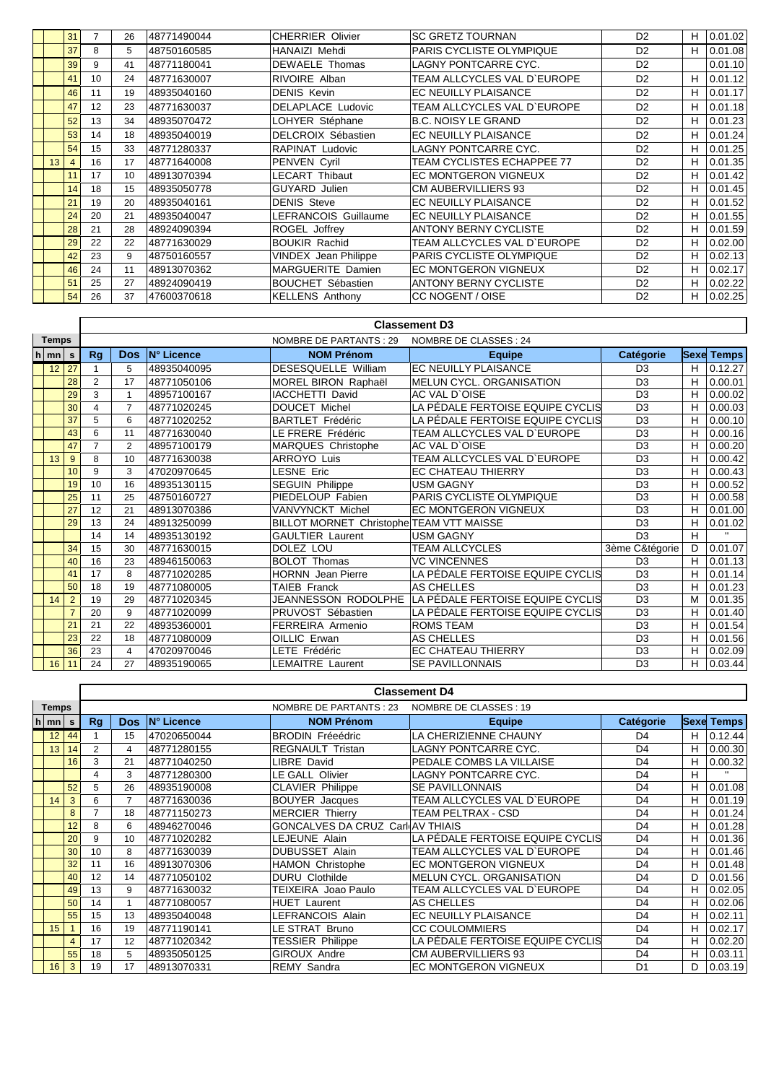|    | 31 | 7  | 26 | 48771490044 | <b>CHERRIER Olivier</b>     | <b>SC GRETZ TOURNAN</b>           | D <sub>2</sub> | н | 0.01.02 |
|----|----|----|----|-------------|-----------------------------|-----------------------------------|----------------|---|---------|
|    | 37 | 8  | 5  | 48750160585 | HANAIZI Mehdi               | PARIS CYCLISTE OLYMPIQUE          | D <sub>2</sub> | н | 0.01.08 |
|    | 39 | 9  | 41 | 48771180041 | <b>DEWAELE</b> Thomas       | <b>LAGNY PONTCARRE CYC.</b>       | D <sub>2</sub> |   | 0.01.10 |
|    | 41 | 10 | 24 | 48771630007 | RIVOIRE Alban               | TEAM ALLCYCLES VAL D'EUROPE       | D <sub>2</sub> | н | 0.01.12 |
|    | 46 | 11 | 19 | 48935040160 | <b>DENIS Kevin</b>          | EC NEUILLY PLAISANCE              | D <sub>2</sub> | н | 0.01.17 |
|    | 47 | 12 | 23 | 48771630037 | <b>DELAPLACE Ludovic</b>    | TEAM ALLCYCLES VAL D`EUROPE       | D <sub>2</sub> | н | 0.01.18 |
|    | 52 | 13 | 34 | 48935070472 | LOHYER Stéphane             | <b>B.C. NOISY LE GRAND</b>        | D <sub>2</sub> | н | 0.01.23 |
|    | 53 | 14 | 18 | 48935040019 | <b>DELCROIX Sébastien</b>   | EC NEUILLY PLAISANCE              | D <sub>2</sub> | н | 0.01.24 |
|    | 54 | 15 | 33 | 48771280337 | <b>RAPINAT Ludovic</b>      | <b>LAGNY PONTCARRE CYC.</b>       | D <sub>2</sub> | н | 0.01.25 |
| 13 | 4  | 16 | 17 | 48771640008 | PENVEN Cyril                | <b>TEAM CYCLISTES ECHAPPEE 77</b> | D <sub>2</sub> | н | 0.01.35 |
|    | 11 | 17 | 10 | 48913070394 | <b>LECART Thibaut</b>       | <b>EC MONTGERON VIGNEUX</b>       | D <sub>2</sub> | н | 0.01.42 |
|    | 14 | 18 | 15 | 48935050778 | <b>GUYARD Julien</b>        | <b>CM AUBERVILLIERS 93</b>        | D <sub>2</sub> | H | 0.01.45 |
|    | 21 | 19 | 20 | 48935040161 | <b>DENIS Steve</b>          | EC NEUILLY PLAISANCE              | D <sub>2</sub> | н | 0.01.52 |
|    | 24 | 20 | 21 | 48935040047 | LEFRANCOIS Guillaume        | EC NEUILLY PLAISANCE              | D <sub>2</sub> | н | 0.01.55 |
|    | 28 | 21 | 28 | 48924090394 | ROGEL Joffrey               | <b>ANTONY BERNY CYCLISTE</b>      | D <sub>2</sub> | н | 0.01.59 |
|    | 29 | 22 | 22 | 48771630029 | <b>BOUKIR Rachid</b>        | TEAM ALLCYCLES VAL D'EUROPE       | D <sub>2</sub> | н | 0.02.00 |
|    | 42 | 23 | 9  | 48750160557 | <b>VINDEX</b> Jean Philippe | PARIS CYCLISTE OLYMPIQUE          | D <sub>2</sub> | н | 0.02.13 |
|    | 46 | 24 | 11 | 48913070362 | MARGUERITE Damien           | <b>EC MONTGERON VIGNEUX</b>       | D <sub>2</sub> | н | 0.02.17 |
|    | 51 | 25 | 27 | 48924090419 | <b>BOUCHET Sébastien</b>    | <b>ANTONY BERNY CYCLISTE</b>      | D <sub>2</sub> | н | 0.02.22 |
|    | 54 | 26 | 37 | 47600370618 | <b>KELLENS Anthony</b>      | CC NOGENT / OISE                  | D <sub>2</sub> | н | 0.02.25 |

|                    |                |                |                |             |                                          | <b>Classement D3</b>             |                |             |              |
|--------------------|----------------|----------------|----------------|-------------|------------------------------------------|----------------------------------|----------------|-------------|--------------|
| <b>Temps</b>       |                |                |                |             | <b>NOMBRE DE PARTANTS: 29</b>            | NOMBRE DE CLASSES : 24           |                |             |              |
| $h \mid mn \mid s$ |                | <b>Rg</b>      | <b>Dos</b>     | IN° Licence | <b>NOM Prénom</b>                        | <b>Equipe</b>                    | Catégorie      | <b>Sexe</b> | <b>Temps</b> |
| 12                 | 27             |                | 5              | 48935040095 | DESESQUELLE William                      | <b>EC NEUILLY PLAISANCE</b>      | D <sub>3</sub> | н           | 0.12.27      |
|                    | 28             | $\overline{2}$ | 17             | 48771050106 | MOREL BIRON Raphaël                      | <b>MELUN CYCL, ORGANISATION</b>  | D <sub>3</sub> | H           | 0.00.01      |
|                    | 29             | 3              | 1              | 48957100167 | <b>IACCHETTI David</b>                   | AC VAL D'OISE                    | D <sub>3</sub> | н           | 0.00.02      |
|                    | 30             | 4              | $\overline{7}$ | 48771020245 | DOUCET Michel                            | LA PÉDALE FERTOISE EQUIPE CYCLIS | D <sub>3</sub> | н           | 0.00.03      |
|                    | 37             | 5              | 6              | 48771020252 | <b>BARTLET Frédéric</b>                  | LA PÉDALE FERTOISE EQUIPE CYCLIS | D <sub>3</sub> | н           | 0.00.10      |
|                    | 43             | 6              | 11             | 48771630040 | LE FRERE Frédéric                        | TEAM ALLCYCLES VAL D`EUROPE      | D <sub>3</sub> | н           | 0.00.16      |
|                    | 47             | $\overline{7}$ | $\overline{2}$ | 48957100179 | <b>MARQUES Christophe</b>                | AC VAL D'OISE                    | D <sub>3</sub> | н           | 0.00.20      |
| 13                 | 9              | 8              | 10             | 48771630038 | <b>ARROYO Luis</b>                       | TEAM ALLCYCLES VAL D`EUROPE      | D <sub>3</sub> | н           | 0.00.42      |
|                    | 10             | 9              | 3              | 47020970645 | <b>LESNE Eric</b>                        | EC CHATEAU THIERRY               | D <sub>3</sub> | H           | 0.00.43      |
|                    | 19             | 10             | 16             | 48935130115 | <b>SEGUIN Philippe</b>                   | USM GAGNY                        | D <sub>3</sub> | н           | 0.00.52      |
|                    | 25             | 11             | 25             | 48750160727 | PIEDELOUP Fabien                         | PARIS CYCLISTE OLYMPIQUE         | D <sub>3</sub> | н           | 0.00.58      |
|                    | 27             | 12             | 21             | 48913070386 | VANVYNCKT Michel                         | <b>EC MONTGERON VIGNEUX</b>      | D <sub>3</sub> | н           | 0.01.00      |
|                    | 29             | 13             | 24             | 48913250099 | BILLOT MORNET Christophe TEAM VTT MAISSE |                                  | D <sub>3</sub> | н           | 0.01.02      |
|                    |                | 14             | 14             | 48935130192 | <b>GAULTIER Laurent</b>                  | USM GAGNY                        | D <sub>3</sub> | н           |              |
|                    | 34             | 15             | 30             | 48771630015 | DOLEZ LOU                                | <b>TEAM ALLCYCLES</b>            | 3ème C&tégorie | D           | 0.01.07      |
|                    | 40             | 16             | 23             | 48946150063 | <b>BOLOT Thomas</b>                      | <b>VC VINCENNES</b>              | D <sub>3</sub> | н           | 0.01.13      |
|                    | 41             | 17             | 8              | 48771020285 | <b>HORNN</b> Jean Pierre                 | LA PÉDALE FERTOISE EQUIPE CYCLIS | D <sub>3</sub> | н           | 0.01.14      |
|                    | 50             | 18             | 19             | 48771080005 | <b>TAIEB Franck</b>                      | <b>AS CHELLES</b>                | D <sub>3</sub> | н           | 0.01.23      |
| 14                 | $\overline{2}$ | 19             | 29             | 48771020345 | JEANNESSON RODOLPHE                      | LA PÉDALE FERTOISE EQUIPE CYCLIS | D <sub>3</sub> | M           | 0.01.35      |
|                    | $\overline{7}$ | 20             | 9              | 48771020099 | PRUVOST Sébastien                        | LA PÉDALE FERTOISE EQUIPE CYCLIS | D <sub>3</sub> | н           | 0.01.40      |
|                    | 21             | 21             | 22             | 48935360001 | FERREIRA Armenio                         | <b>ROMS TEAM</b>                 | D <sub>3</sub> | н           | 0.01.54      |
|                    | 23             | 22             | 18             | 48771080009 | OILLIC Erwan                             | AS CHELLES                       | D <sub>3</sub> | H           | 0.01.56      |
|                    | 36             | 23             | $\overline{4}$ | 47020970046 | LETE Frédéric                            | EC CHATEAU THIERRY               | D <sub>3</sub> | H           | 0.02.09      |
| 16                 | 11             | 24             | 27             | 48935190065 | <b>LEMAITRE Laurent</b>                  | <b>SE PAVILLONNAIS</b>           | D <sub>3</sub> | н           | 0.03.44      |

| <b>Temps</b> |              |                |                |             | NOMBRE DE PARTANTS : 23          | NOMBRE DE CLASSES : 19           |                |   |                   |
|--------------|--------------|----------------|----------------|-------------|----------------------------------|----------------------------------|----------------|---|-------------------|
| $h$ mn       | s            | Rg             | <b>Dos</b>     | IN° Licence | <b>NOM Prénom</b>                | <b>Equipe</b>                    | Catégorie      |   | <b>Sexe Temps</b> |
| 12           | 44           |                | 15             | 47020650044 | <b>BRODIN Fréeédric</b>          | LA CHERIZIENNE CHAUNY            | D <sub>4</sub> | н | 0.12.44           |
| 13           | 14           | $\overline{2}$ | 4              | 48771280155 | <b>REGNAULT Tristan</b>          | <b>LAGNY PONTCARRE CYC.</b>      | D <sub>4</sub> | н | 0.00.30           |
|              | 16           | 3              | 21             | 48771040250 | LIBRE David                      | PEDALE COMBS LA VILLAISE         | D <sub>4</sub> | н | 0.00.32           |
|              |              | 4              | 3              | 48771280300 | LE GALL Olivier                  | LAGNY PONTCARRE CYC.             | D <sub>4</sub> | н | $\mathbf{H}$      |
|              | 52           | 5              | 26             | 48935190008 | <b>CLAVIER Philippe</b>          | <b>SE PAVILLONNAIS</b>           | D <sub>4</sub> | н | 0.01.08           |
| 14           | 3            | 6              | $\overline{7}$ | 48771630036 | <b>BOUYER</b> Jacques            | TEAM ALLCYCLES VAL D'EUROPE      | D <sub>4</sub> | н | 0.01.19           |
|              | 8            |                | 18             | 48771150273 | <b>MERCIER Thierry</b>           | <b>TEAM PELTRAX - CSD</b>        | D <sub>4</sub> | н | 0.01.24           |
|              | 12           | 8              | 6              | 48946270046 | GONCALVES DA CRUZ Carl AV THIAIS |                                  | D <sub>4</sub> | н | 0.01.28           |
|              | 20           | 9              | 10             | 48771020282 | LEJEUNE Alain                    | LA PÉDALE FERTOISE EQUIPE CYCLIS | D <sub>4</sub> | н | 0.01.36           |
|              | 30           | 10             | 8              | 48771630039 | <b>DUBUSSET Alain</b>            | TEAM ALLCYCLES VAL D'EUROPE      | D <sub>4</sub> | н | 0.01.46           |
|              | 32           | 11             | 16             | 48913070306 | <b>HAMON Christophe</b>          | <b>EC MONTGERON VIGNEUX</b>      | D <sub>4</sub> | н | 0.01.48           |
|              | 40           | 12             | 14             | 48771050102 | <b>DURU Clothilde</b>            | <b>MELUN CYCL, ORGANISATION</b>  | D <sub>4</sub> | D | 0.01.56           |
|              | 49           | 13             | 9              | 48771630032 | TEIXEIRA Joao Paulo              | TEAM ALLCYCLES VAL D'EUROPE      | D <sub>4</sub> | н | 0.02.05           |
|              | 50           | 14             |                | 48771080057 | <b>HUET Laurent</b>              | AS CHELLES                       | D <sub>4</sub> | н | 0.02.06           |
|              | 55           | 15             | 13             | 48935040048 | LEFRANCOIS Alain                 | EC NEUILLY PLAISANCE             | D <sub>4</sub> | н | 0.02.11           |
| 15           |              | 16             | 19             | 48771190141 | LE STRAT Bruno                   | <b>CC COULOMMIERS</b>            | D <sub>4</sub> | н | 0.02.17           |
|              | 4            | 17             | 12             | 48771020342 | <b>TESSIER Philippe</b>          | LA PÉDALE FERTOISE EQUIPE CYCLIS | D <sub>4</sub> | н | 0.02.20           |
|              | 55           | 18             | 5              | 48935050125 | <b>GIROUX Andre</b>              | <b>CM AUBERVILLIERS 93</b>       | D <sub>4</sub> | н | 0.03.11           |
| 16           | $\mathbf{3}$ | 19             | 17             | 48913070331 | <b>REMY Sandra</b>               | <b>EC MONTGERON VIGNEUX</b>      | D <sub>1</sub> | D | 0.03.19           |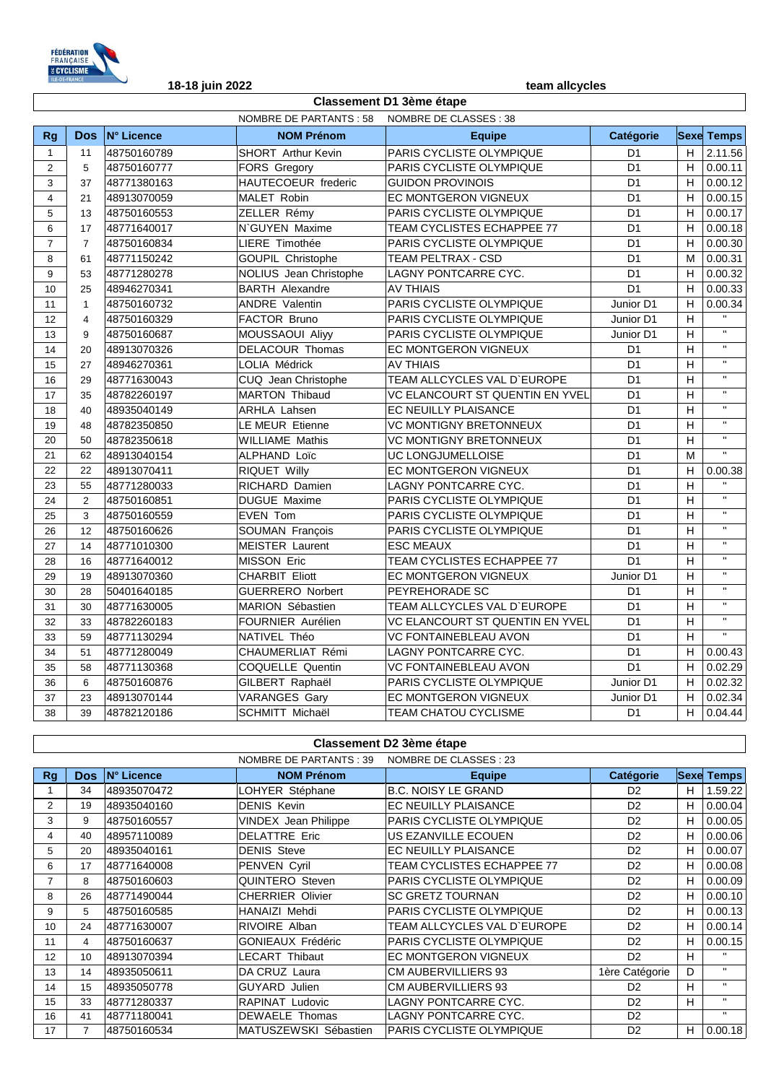

| N° Licence<br><b>NOM Prénom</b><br>Catégorie<br>Dos:<br><b>Sexe Temps</b><br>Rg<br><b>Equipe</b><br>PARIS CYCLISTE OLYMPIQUE<br>H<br>2.11.56<br>48750160789<br><b>SHORT</b> Arthur Kevin<br>D <sub>1</sub><br>11<br>$\mathbf{1}$<br>PARIS CYCLISTE OLYMPIQUE<br>H<br>D <sub>1</sub><br>0.00.11<br>$\overline{2}$<br>5<br>48750160777<br><b>FORS Gregory</b><br>3<br>HAUTECOEUR frederic<br><b>GUIDON PROVINOIS</b><br>D <sub>1</sub><br>H<br>0.00.12<br>37<br>48771380163<br>H<br>48913070059<br><b>MALET Robin</b><br>EC MONTGERON VIGNEUX<br>D <sub>1</sub><br>0.00.15<br>$\overline{4}$<br>21<br>PARIS CYCLISTE OLYMPIQUE<br>H<br>0.00.17<br>5<br>48750160553<br>ZELLER Rémy<br>D <sub>1</sub><br>13<br>N'GUYEN Maxime<br>TEAM CYCLISTES ECHAPPEE 77<br>H<br>0.00.18<br>17<br>48771640017<br>D <sub>1</sub><br>6<br>$\overline{7}$<br>LIERE Timothée<br>PARIS CYCLISTE OLYMPIQUE<br>D <sub>1</sub><br>H<br>0.00.30<br>$\overline{7}$<br>48750160834<br>D <sub>1</sub><br>8<br>48771150242<br><b>GOUPIL Christophe</b><br><b>TEAM PELTRAX - CSD</b><br>M<br>0.00.31<br>61<br>NOLIUS Jean Christophe<br>LAGNY PONTCARRE CYC.<br>D <sub>1</sub><br>H<br>0.00.32<br>9<br>48771280278<br>53<br><b>BARTH Alexandre</b><br><b>AV THIAIS</b><br>D <sub>1</sub><br>H<br>0.00.33<br>48946270341<br>10<br>25<br><b>ANDRE Valentin</b><br>PARIS CYCLISTE OLYMPIQUE<br>Junior D1<br>H<br>0.00.34<br>11<br>$\mathbf{1}$<br>48750160732<br>$\mathbf{H}$<br>FACTOR Bruno<br>PARIS CYCLISTE OLYMPIQUE<br>H<br>48750160329<br>12<br>$\overline{4}$<br>Junior D1<br>$\mathbf{H}$<br>MOUSSAOUI Aliyy<br>PARIS CYCLISTE OLYMPIQUE<br>н<br>13<br>9<br>48750160687<br>Junior D1<br>$\bar{\mathbf{H}}$<br>H<br>48913070326<br>DELACOUR Thomas<br>EC MONTGERON VIGNEUX<br>14<br>20<br>D <sub>1</sub><br>$\mathbf{H}$<br>H<br><b>LOLIA Médrick</b><br><b>AV THIAIS</b><br>D <sub>1</sub><br>15<br>27<br>48946270361<br>$\mathbf{H}$<br>TEAM ALLCYCLES VAL D'EUROPE<br>D <sub>1</sub><br>H<br>16<br>29<br>48771630043<br>CUQ Jean Christophe<br>$\mathbf{H}$<br>VC ELANCOURT ST QUENTIN EN YVEL<br>D <sub>1</sub><br>H<br><b>MARTON Thibaud</b><br>17<br>35<br>48782260197<br>$\overline{\mathbf{u}}$<br>EC NEUILLY PLAISANCE<br>D <sub>1</sub><br>H<br>48935040149<br><b>ARHLA Lahsen</b><br>18<br>40<br>$\mathbf{H}$<br><b>VC MONTIGNY BRETONNEUX</b><br>H<br>19<br>48782350850<br>LE MEUR Etienne<br>D <sub>1</sub><br>48<br>$\mathbf{H}$<br><b>VC MONTIGNY BRETONNEUX</b><br>H<br>20<br>48782350618<br><b>WILLIAME Mathis</b><br>D <sub>1</sub><br>50<br>$\mathbf{H}$<br>ALPHAND Loïc<br>UC LONGJUMELLOISE<br>21<br>62<br>48913040154<br>D <sub>1</sub><br>M<br>EC MONTGERON VIGNEUX<br>D <sub>1</sub><br>H<br>22<br>22<br>48913070411<br><b>RIQUET Willy</b><br>0.00.38<br>$\mathbf{u}$<br>LAGNY PONTCARRE CYC.<br>D <sub>1</sub><br>H<br>23<br>48771280033<br><b>RICHARD Damien</b><br>55<br>$\mathbf{H}$<br>H<br>24<br>$\overline{2}$<br><b>DUGUE Maxime</b><br>PARIS CYCLISTE OLYMPIQUE<br>D <sub>1</sub><br>48750160851<br>$\mathbf{H}$<br>PARIS CYCLISTE OLYMPIQUE<br>D <sub>1</sub><br>H<br>3<br>48750160559<br>EVEN Tom<br>25<br>$\mathbf{H}$<br>H<br>PARIS CYCLISTE OLYMPIQUE<br>D <sub>1</sub><br>12<br>48750160626<br>SOUMAN François<br>26<br>$\mathbf{H}$<br>27<br>H<br>14<br>48771010300<br><b>MEISTER Laurent</b><br><b>ESC MEAUX</b><br>D <sub>1</sub><br>$\mathbf{H}$<br>48771640012<br><b>MISSON Eric</b><br>TEAM CYCLISTES ECHAPPEE 77<br>D <sub>1</sub><br>н<br>28<br>16<br>$\bar{\mathbf{H}}$<br>29<br><b>EC MONTGERON VIGNEUX</b><br>H<br>19<br>48913070360<br><b>CHARBIT Eliott</b><br>Junior D1<br>$\mathbf{H}$<br>H<br>50401640185<br><b>GUERRERO Norbert</b><br>PEYREHORADE SC<br>D <sub>1</sub><br>30<br>28<br>$\overline{\mathbf{u}}$<br>TEAM ALLCYCLES VAL D'EUROPE<br>$\overline{H}$<br>48771630005<br>MARION Sébastien<br>D <sub>1</sub><br>31<br>30<br>$\mathbf{H}$<br>VC ELANCOURT ST QUENTIN EN YVEL<br>H<br>48782260183<br><b>FOURNIER Aurélien</b><br>D <sub>1</sub><br>32<br>33<br>$\mathbf{H}$<br>NATIVEL Théo<br><b>VC FONTAINEBLEAU AVON</b><br>D <sub>1</sub><br>H<br>48771130294<br>33<br>59<br>CHAUMERLIAT Rémi<br>LAGNY PONTCARRE CYC.<br>51<br>48771280049<br>D <sub>1</sub><br>H<br>0.00.43<br>34<br>35<br>COQUELLE Quentin<br>VC FONTAINEBLEAU AVON<br>D <sub>1</sub><br>0.02.29<br>58<br>48771130368<br>H.<br>48750160876<br>GILBERT Raphaël<br>PARIS CYCLISTE OLYMPIQUE<br>H<br>0.02.32<br>6<br>Junior D1<br>36<br><b>VARANGES Gary</b><br>37<br>23<br>EC MONTGERON VIGNEUX<br>H<br>0.02.34<br>48913070144<br>Junior D1<br>$\overline{\mathsf{H}}$<br>SCHMITT Michaël<br><b>TEAM CHATOU CYCLISME</b><br>0.04.44<br>48782120186<br>D <sub>1</sub><br>38<br>39 |  | NOMBRE DE PARTANTS : 58 | NOMBRE DE CLASSES : 38 |  |  |  |  |
|-------------------------------------------------------------------------------------------------------------------------------------------------------------------------------------------------------------------------------------------------------------------------------------------------------------------------------------------------------------------------------------------------------------------------------------------------------------------------------------------------------------------------------------------------------------------------------------------------------------------------------------------------------------------------------------------------------------------------------------------------------------------------------------------------------------------------------------------------------------------------------------------------------------------------------------------------------------------------------------------------------------------------------------------------------------------------------------------------------------------------------------------------------------------------------------------------------------------------------------------------------------------------------------------------------------------------------------------------------------------------------------------------------------------------------------------------------------------------------------------------------------------------------------------------------------------------------------------------------------------------------------------------------------------------------------------------------------------------------------------------------------------------------------------------------------------------------------------------------------------------------------------------------------------------------------------------------------------------------------------------------------------------------------------------------------------------------------------------------------------------------------------------------------------------------------------------------------------------------------------------------------------------------------------------------------------------------------------------------------------------------------------------------------------------------------------------------------------------------------------------------------------------------------------------------------------------------------------------------------------------------------------------------------------------------------------------------------------------------------------------------------------------------------------------------------------------------------------------------------------------------------------------------------------------------------------------------------------------------------------------------------------------------------------------------------------------------------------------------------------------------------------------------------------------------------------------------------------------------------------------------------------------------------------------------------------------------------------------------------------------------------------------------------------------------------------------------------------------------------------------------------------------------------------------------------------------------------------------------------------------------------------------------------------------------------------------------------------------------------------------------------------------------------------------------------------------------------------------------------------------------------------------------------------------------------------------------------------------------------------------------------------------------------------------------------------------------------------------------------------------------------------------------------------------------------------------------------------------------------------------------------------------------------------------------------------------------------------------------------------------------------------------------------------------------------------------------------------------------------------------------------------------------------------------------------------------------------------------------------------------------------------------------------------------------------------|--|-------------------------|------------------------|--|--|--|--|
|                                                                                                                                                                                                                                                                                                                                                                                                                                                                                                                                                                                                                                                                                                                                                                                                                                                                                                                                                                                                                                                                                                                                                                                                                                                                                                                                                                                                                                                                                                                                                                                                                                                                                                                                                                                                                                                                                                                                                                                                                                                                                                                                                                                                                                                                                                                                                                                                                                                                                                                                                                                                                                                                                                                                                                                                                                                                                                                                                                                                                                                                                                                                                                                                                                                                                                                                                                                                                                                                                                                                                                                                                                                                                                                                                                                                                                                                                                                                                                                                                                                                                                                                                                                                                                                                                                                                                                                                                                                                                                                                                                                                                                                                                           |  |                         |                        |  |  |  |  |
|                                                                                                                                                                                                                                                                                                                                                                                                                                                                                                                                                                                                                                                                                                                                                                                                                                                                                                                                                                                                                                                                                                                                                                                                                                                                                                                                                                                                                                                                                                                                                                                                                                                                                                                                                                                                                                                                                                                                                                                                                                                                                                                                                                                                                                                                                                                                                                                                                                                                                                                                                                                                                                                                                                                                                                                                                                                                                                                                                                                                                                                                                                                                                                                                                                                                                                                                                                                                                                                                                                                                                                                                                                                                                                                                                                                                                                                                                                                                                                                                                                                                                                                                                                                                                                                                                                                                                                                                                                                                                                                                                                                                                                                                                           |  |                         |                        |  |  |  |  |
|                                                                                                                                                                                                                                                                                                                                                                                                                                                                                                                                                                                                                                                                                                                                                                                                                                                                                                                                                                                                                                                                                                                                                                                                                                                                                                                                                                                                                                                                                                                                                                                                                                                                                                                                                                                                                                                                                                                                                                                                                                                                                                                                                                                                                                                                                                                                                                                                                                                                                                                                                                                                                                                                                                                                                                                                                                                                                                                                                                                                                                                                                                                                                                                                                                                                                                                                                                                                                                                                                                                                                                                                                                                                                                                                                                                                                                                                                                                                                                                                                                                                                                                                                                                                                                                                                                                                                                                                                                                                                                                                                                                                                                                                                           |  |                         |                        |  |  |  |  |
|                                                                                                                                                                                                                                                                                                                                                                                                                                                                                                                                                                                                                                                                                                                                                                                                                                                                                                                                                                                                                                                                                                                                                                                                                                                                                                                                                                                                                                                                                                                                                                                                                                                                                                                                                                                                                                                                                                                                                                                                                                                                                                                                                                                                                                                                                                                                                                                                                                                                                                                                                                                                                                                                                                                                                                                                                                                                                                                                                                                                                                                                                                                                                                                                                                                                                                                                                                                                                                                                                                                                                                                                                                                                                                                                                                                                                                                                                                                                                                                                                                                                                                                                                                                                                                                                                                                                                                                                                                                                                                                                                                                                                                                                                           |  |                         |                        |  |  |  |  |
|                                                                                                                                                                                                                                                                                                                                                                                                                                                                                                                                                                                                                                                                                                                                                                                                                                                                                                                                                                                                                                                                                                                                                                                                                                                                                                                                                                                                                                                                                                                                                                                                                                                                                                                                                                                                                                                                                                                                                                                                                                                                                                                                                                                                                                                                                                                                                                                                                                                                                                                                                                                                                                                                                                                                                                                                                                                                                                                                                                                                                                                                                                                                                                                                                                                                                                                                                                                                                                                                                                                                                                                                                                                                                                                                                                                                                                                                                                                                                                                                                                                                                                                                                                                                                                                                                                                                                                                                                                                                                                                                                                                                                                                                                           |  |                         |                        |  |  |  |  |
|                                                                                                                                                                                                                                                                                                                                                                                                                                                                                                                                                                                                                                                                                                                                                                                                                                                                                                                                                                                                                                                                                                                                                                                                                                                                                                                                                                                                                                                                                                                                                                                                                                                                                                                                                                                                                                                                                                                                                                                                                                                                                                                                                                                                                                                                                                                                                                                                                                                                                                                                                                                                                                                                                                                                                                                                                                                                                                                                                                                                                                                                                                                                                                                                                                                                                                                                                                                                                                                                                                                                                                                                                                                                                                                                                                                                                                                                                                                                                                                                                                                                                                                                                                                                                                                                                                                                                                                                                                                                                                                                                                                                                                                                                           |  |                         |                        |  |  |  |  |
|                                                                                                                                                                                                                                                                                                                                                                                                                                                                                                                                                                                                                                                                                                                                                                                                                                                                                                                                                                                                                                                                                                                                                                                                                                                                                                                                                                                                                                                                                                                                                                                                                                                                                                                                                                                                                                                                                                                                                                                                                                                                                                                                                                                                                                                                                                                                                                                                                                                                                                                                                                                                                                                                                                                                                                                                                                                                                                                                                                                                                                                                                                                                                                                                                                                                                                                                                                                                                                                                                                                                                                                                                                                                                                                                                                                                                                                                                                                                                                                                                                                                                                                                                                                                                                                                                                                                                                                                                                                                                                                                                                                                                                                                                           |  |                         |                        |  |  |  |  |
|                                                                                                                                                                                                                                                                                                                                                                                                                                                                                                                                                                                                                                                                                                                                                                                                                                                                                                                                                                                                                                                                                                                                                                                                                                                                                                                                                                                                                                                                                                                                                                                                                                                                                                                                                                                                                                                                                                                                                                                                                                                                                                                                                                                                                                                                                                                                                                                                                                                                                                                                                                                                                                                                                                                                                                                                                                                                                                                                                                                                                                                                                                                                                                                                                                                                                                                                                                                                                                                                                                                                                                                                                                                                                                                                                                                                                                                                                                                                                                                                                                                                                                                                                                                                                                                                                                                                                                                                                                                                                                                                                                                                                                                                                           |  |                         |                        |  |  |  |  |
|                                                                                                                                                                                                                                                                                                                                                                                                                                                                                                                                                                                                                                                                                                                                                                                                                                                                                                                                                                                                                                                                                                                                                                                                                                                                                                                                                                                                                                                                                                                                                                                                                                                                                                                                                                                                                                                                                                                                                                                                                                                                                                                                                                                                                                                                                                                                                                                                                                                                                                                                                                                                                                                                                                                                                                                                                                                                                                                                                                                                                                                                                                                                                                                                                                                                                                                                                                                                                                                                                                                                                                                                                                                                                                                                                                                                                                                                                                                                                                                                                                                                                                                                                                                                                                                                                                                                                                                                                                                                                                                                                                                                                                                                                           |  |                         |                        |  |  |  |  |
|                                                                                                                                                                                                                                                                                                                                                                                                                                                                                                                                                                                                                                                                                                                                                                                                                                                                                                                                                                                                                                                                                                                                                                                                                                                                                                                                                                                                                                                                                                                                                                                                                                                                                                                                                                                                                                                                                                                                                                                                                                                                                                                                                                                                                                                                                                                                                                                                                                                                                                                                                                                                                                                                                                                                                                                                                                                                                                                                                                                                                                                                                                                                                                                                                                                                                                                                                                                                                                                                                                                                                                                                                                                                                                                                                                                                                                                                                                                                                                                                                                                                                                                                                                                                                                                                                                                                                                                                                                                                                                                                                                                                                                                                                           |  |                         |                        |  |  |  |  |
|                                                                                                                                                                                                                                                                                                                                                                                                                                                                                                                                                                                                                                                                                                                                                                                                                                                                                                                                                                                                                                                                                                                                                                                                                                                                                                                                                                                                                                                                                                                                                                                                                                                                                                                                                                                                                                                                                                                                                                                                                                                                                                                                                                                                                                                                                                                                                                                                                                                                                                                                                                                                                                                                                                                                                                                                                                                                                                                                                                                                                                                                                                                                                                                                                                                                                                                                                                                                                                                                                                                                                                                                                                                                                                                                                                                                                                                                                                                                                                                                                                                                                                                                                                                                                                                                                                                                                                                                                                                                                                                                                                                                                                                                                           |  |                         |                        |  |  |  |  |
|                                                                                                                                                                                                                                                                                                                                                                                                                                                                                                                                                                                                                                                                                                                                                                                                                                                                                                                                                                                                                                                                                                                                                                                                                                                                                                                                                                                                                                                                                                                                                                                                                                                                                                                                                                                                                                                                                                                                                                                                                                                                                                                                                                                                                                                                                                                                                                                                                                                                                                                                                                                                                                                                                                                                                                                                                                                                                                                                                                                                                                                                                                                                                                                                                                                                                                                                                                                                                                                                                                                                                                                                                                                                                                                                                                                                                                                                                                                                                                                                                                                                                                                                                                                                                                                                                                                                                                                                                                                                                                                                                                                                                                                                                           |  |                         |                        |  |  |  |  |
|                                                                                                                                                                                                                                                                                                                                                                                                                                                                                                                                                                                                                                                                                                                                                                                                                                                                                                                                                                                                                                                                                                                                                                                                                                                                                                                                                                                                                                                                                                                                                                                                                                                                                                                                                                                                                                                                                                                                                                                                                                                                                                                                                                                                                                                                                                                                                                                                                                                                                                                                                                                                                                                                                                                                                                                                                                                                                                                                                                                                                                                                                                                                                                                                                                                                                                                                                                                                                                                                                                                                                                                                                                                                                                                                                                                                                                                                                                                                                                                                                                                                                                                                                                                                                                                                                                                                                                                                                                                                                                                                                                                                                                                                                           |  |                         |                        |  |  |  |  |
|                                                                                                                                                                                                                                                                                                                                                                                                                                                                                                                                                                                                                                                                                                                                                                                                                                                                                                                                                                                                                                                                                                                                                                                                                                                                                                                                                                                                                                                                                                                                                                                                                                                                                                                                                                                                                                                                                                                                                                                                                                                                                                                                                                                                                                                                                                                                                                                                                                                                                                                                                                                                                                                                                                                                                                                                                                                                                                                                                                                                                                                                                                                                                                                                                                                                                                                                                                                                                                                                                                                                                                                                                                                                                                                                                                                                                                                                                                                                                                                                                                                                                                                                                                                                                                                                                                                                                                                                                                                                                                                                                                                                                                                                                           |  |                         |                        |  |  |  |  |
|                                                                                                                                                                                                                                                                                                                                                                                                                                                                                                                                                                                                                                                                                                                                                                                                                                                                                                                                                                                                                                                                                                                                                                                                                                                                                                                                                                                                                                                                                                                                                                                                                                                                                                                                                                                                                                                                                                                                                                                                                                                                                                                                                                                                                                                                                                                                                                                                                                                                                                                                                                                                                                                                                                                                                                                                                                                                                                                                                                                                                                                                                                                                                                                                                                                                                                                                                                                                                                                                                                                                                                                                                                                                                                                                                                                                                                                                                                                                                                                                                                                                                                                                                                                                                                                                                                                                                                                                                                                                                                                                                                                                                                                                                           |  |                         |                        |  |  |  |  |
|                                                                                                                                                                                                                                                                                                                                                                                                                                                                                                                                                                                                                                                                                                                                                                                                                                                                                                                                                                                                                                                                                                                                                                                                                                                                                                                                                                                                                                                                                                                                                                                                                                                                                                                                                                                                                                                                                                                                                                                                                                                                                                                                                                                                                                                                                                                                                                                                                                                                                                                                                                                                                                                                                                                                                                                                                                                                                                                                                                                                                                                                                                                                                                                                                                                                                                                                                                                                                                                                                                                                                                                                                                                                                                                                                                                                                                                                                                                                                                                                                                                                                                                                                                                                                                                                                                                                                                                                                                                                                                                                                                                                                                                                                           |  |                         |                        |  |  |  |  |
|                                                                                                                                                                                                                                                                                                                                                                                                                                                                                                                                                                                                                                                                                                                                                                                                                                                                                                                                                                                                                                                                                                                                                                                                                                                                                                                                                                                                                                                                                                                                                                                                                                                                                                                                                                                                                                                                                                                                                                                                                                                                                                                                                                                                                                                                                                                                                                                                                                                                                                                                                                                                                                                                                                                                                                                                                                                                                                                                                                                                                                                                                                                                                                                                                                                                                                                                                                                                                                                                                                                                                                                                                                                                                                                                                                                                                                                                                                                                                                                                                                                                                                                                                                                                                                                                                                                                                                                                                                                                                                                                                                                                                                                                                           |  |                         |                        |  |  |  |  |
|                                                                                                                                                                                                                                                                                                                                                                                                                                                                                                                                                                                                                                                                                                                                                                                                                                                                                                                                                                                                                                                                                                                                                                                                                                                                                                                                                                                                                                                                                                                                                                                                                                                                                                                                                                                                                                                                                                                                                                                                                                                                                                                                                                                                                                                                                                                                                                                                                                                                                                                                                                                                                                                                                                                                                                                                                                                                                                                                                                                                                                                                                                                                                                                                                                                                                                                                                                                                                                                                                                                                                                                                                                                                                                                                                                                                                                                                                                                                                                                                                                                                                                                                                                                                                                                                                                                                                                                                                                                                                                                                                                                                                                                                                           |  |                         |                        |  |  |  |  |
|                                                                                                                                                                                                                                                                                                                                                                                                                                                                                                                                                                                                                                                                                                                                                                                                                                                                                                                                                                                                                                                                                                                                                                                                                                                                                                                                                                                                                                                                                                                                                                                                                                                                                                                                                                                                                                                                                                                                                                                                                                                                                                                                                                                                                                                                                                                                                                                                                                                                                                                                                                                                                                                                                                                                                                                                                                                                                                                                                                                                                                                                                                                                                                                                                                                                                                                                                                                                                                                                                                                                                                                                                                                                                                                                                                                                                                                                                                                                                                                                                                                                                                                                                                                                                                                                                                                                                                                                                                                                                                                                                                                                                                                                                           |  |                         |                        |  |  |  |  |
|                                                                                                                                                                                                                                                                                                                                                                                                                                                                                                                                                                                                                                                                                                                                                                                                                                                                                                                                                                                                                                                                                                                                                                                                                                                                                                                                                                                                                                                                                                                                                                                                                                                                                                                                                                                                                                                                                                                                                                                                                                                                                                                                                                                                                                                                                                                                                                                                                                                                                                                                                                                                                                                                                                                                                                                                                                                                                                                                                                                                                                                                                                                                                                                                                                                                                                                                                                                                                                                                                                                                                                                                                                                                                                                                                                                                                                                                                                                                                                                                                                                                                                                                                                                                                                                                                                                                                                                                                                                                                                                                                                                                                                                                                           |  |                         |                        |  |  |  |  |
|                                                                                                                                                                                                                                                                                                                                                                                                                                                                                                                                                                                                                                                                                                                                                                                                                                                                                                                                                                                                                                                                                                                                                                                                                                                                                                                                                                                                                                                                                                                                                                                                                                                                                                                                                                                                                                                                                                                                                                                                                                                                                                                                                                                                                                                                                                                                                                                                                                                                                                                                                                                                                                                                                                                                                                                                                                                                                                                                                                                                                                                                                                                                                                                                                                                                                                                                                                                                                                                                                                                                                                                                                                                                                                                                                                                                                                                                                                                                                                                                                                                                                                                                                                                                                                                                                                                                                                                                                                                                                                                                                                                                                                                                                           |  |                         |                        |  |  |  |  |
|                                                                                                                                                                                                                                                                                                                                                                                                                                                                                                                                                                                                                                                                                                                                                                                                                                                                                                                                                                                                                                                                                                                                                                                                                                                                                                                                                                                                                                                                                                                                                                                                                                                                                                                                                                                                                                                                                                                                                                                                                                                                                                                                                                                                                                                                                                                                                                                                                                                                                                                                                                                                                                                                                                                                                                                                                                                                                                                                                                                                                                                                                                                                                                                                                                                                                                                                                                                                                                                                                                                                                                                                                                                                                                                                                                                                                                                                                                                                                                                                                                                                                                                                                                                                                                                                                                                                                                                                                                                                                                                                                                                                                                                                                           |  |                         |                        |  |  |  |  |
|                                                                                                                                                                                                                                                                                                                                                                                                                                                                                                                                                                                                                                                                                                                                                                                                                                                                                                                                                                                                                                                                                                                                                                                                                                                                                                                                                                                                                                                                                                                                                                                                                                                                                                                                                                                                                                                                                                                                                                                                                                                                                                                                                                                                                                                                                                                                                                                                                                                                                                                                                                                                                                                                                                                                                                                                                                                                                                                                                                                                                                                                                                                                                                                                                                                                                                                                                                                                                                                                                                                                                                                                                                                                                                                                                                                                                                                                                                                                                                                                                                                                                                                                                                                                                                                                                                                                                                                                                                                                                                                                                                                                                                                                                           |  |                         |                        |  |  |  |  |
|                                                                                                                                                                                                                                                                                                                                                                                                                                                                                                                                                                                                                                                                                                                                                                                                                                                                                                                                                                                                                                                                                                                                                                                                                                                                                                                                                                                                                                                                                                                                                                                                                                                                                                                                                                                                                                                                                                                                                                                                                                                                                                                                                                                                                                                                                                                                                                                                                                                                                                                                                                                                                                                                                                                                                                                                                                                                                                                                                                                                                                                                                                                                                                                                                                                                                                                                                                                                                                                                                                                                                                                                                                                                                                                                                                                                                                                                                                                                                                                                                                                                                                                                                                                                                                                                                                                                                                                                                                                                                                                                                                                                                                                                                           |  |                         |                        |  |  |  |  |
|                                                                                                                                                                                                                                                                                                                                                                                                                                                                                                                                                                                                                                                                                                                                                                                                                                                                                                                                                                                                                                                                                                                                                                                                                                                                                                                                                                                                                                                                                                                                                                                                                                                                                                                                                                                                                                                                                                                                                                                                                                                                                                                                                                                                                                                                                                                                                                                                                                                                                                                                                                                                                                                                                                                                                                                                                                                                                                                                                                                                                                                                                                                                                                                                                                                                                                                                                                                                                                                                                                                                                                                                                                                                                                                                                                                                                                                                                                                                                                                                                                                                                                                                                                                                                                                                                                                                                                                                                                                                                                                                                                                                                                                                                           |  |                         |                        |  |  |  |  |
|                                                                                                                                                                                                                                                                                                                                                                                                                                                                                                                                                                                                                                                                                                                                                                                                                                                                                                                                                                                                                                                                                                                                                                                                                                                                                                                                                                                                                                                                                                                                                                                                                                                                                                                                                                                                                                                                                                                                                                                                                                                                                                                                                                                                                                                                                                                                                                                                                                                                                                                                                                                                                                                                                                                                                                                                                                                                                                                                                                                                                                                                                                                                                                                                                                                                                                                                                                                                                                                                                                                                                                                                                                                                                                                                                                                                                                                                                                                                                                                                                                                                                                                                                                                                                                                                                                                                                                                                                                                                                                                                                                                                                                                                                           |  |                         |                        |  |  |  |  |
|                                                                                                                                                                                                                                                                                                                                                                                                                                                                                                                                                                                                                                                                                                                                                                                                                                                                                                                                                                                                                                                                                                                                                                                                                                                                                                                                                                                                                                                                                                                                                                                                                                                                                                                                                                                                                                                                                                                                                                                                                                                                                                                                                                                                                                                                                                                                                                                                                                                                                                                                                                                                                                                                                                                                                                                                                                                                                                                                                                                                                                                                                                                                                                                                                                                                                                                                                                                                                                                                                                                                                                                                                                                                                                                                                                                                                                                                                                                                                                                                                                                                                                                                                                                                                                                                                                                                                                                                                                                                                                                                                                                                                                                                                           |  |                         |                        |  |  |  |  |
|                                                                                                                                                                                                                                                                                                                                                                                                                                                                                                                                                                                                                                                                                                                                                                                                                                                                                                                                                                                                                                                                                                                                                                                                                                                                                                                                                                                                                                                                                                                                                                                                                                                                                                                                                                                                                                                                                                                                                                                                                                                                                                                                                                                                                                                                                                                                                                                                                                                                                                                                                                                                                                                                                                                                                                                                                                                                                                                                                                                                                                                                                                                                                                                                                                                                                                                                                                                                                                                                                                                                                                                                                                                                                                                                                                                                                                                                                                                                                                                                                                                                                                                                                                                                                                                                                                                                                                                                                                                                                                                                                                                                                                                                                           |  |                         |                        |  |  |  |  |
|                                                                                                                                                                                                                                                                                                                                                                                                                                                                                                                                                                                                                                                                                                                                                                                                                                                                                                                                                                                                                                                                                                                                                                                                                                                                                                                                                                                                                                                                                                                                                                                                                                                                                                                                                                                                                                                                                                                                                                                                                                                                                                                                                                                                                                                                                                                                                                                                                                                                                                                                                                                                                                                                                                                                                                                                                                                                                                                                                                                                                                                                                                                                                                                                                                                                                                                                                                                                                                                                                                                                                                                                                                                                                                                                                                                                                                                                                                                                                                                                                                                                                                                                                                                                                                                                                                                                                                                                                                                                                                                                                                                                                                                                                           |  |                         |                        |  |  |  |  |
|                                                                                                                                                                                                                                                                                                                                                                                                                                                                                                                                                                                                                                                                                                                                                                                                                                                                                                                                                                                                                                                                                                                                                                                                                                                                                                                                                                                                                                                                                                                                                                                                                                                                                                                                                                                                                                                                                                                                                                                                                                                                                                                                                                                                                                                                                                                                                                                                                                                                                                                                                                                                                                                                                                                                                                                                                                                                                                                                                                                                                                                                                                                                                                                                                                                                                                                                                                                                                                                                                                                                                                                                                                                                                                                                                                                                                                                                                                                                                                                                                                                                                                                                                                                                                                                                                                                                                                                                                                                                                                                                                                                                                                                                                           |  |                         |                        |  |  |  |  |
|                                                                                                                                                                                                                                                                                                                                                                                                                                                                                                                                                                                                                                                                                                                                                                                                                                                                                                                                                                                                                                                                                                                                                                                                                                                                                                                                                                                                                                                                                                                                                                                                                                                                                                                                                                                                                                                                                                                                                                                                                                                                                                                                                                                                                                                                                                                                                                                                                                                                                                                                                                                                                                                                                                                                                                                                                                                                                                                                                                                                                                                                                                                                                                                                                                                                                                                                                                                                                                                                                                                                                                                                                                                                                                                                                                                                                                                                                                                                                                                                                                                                                                                                                                                                                                                                                                                                                                                                                                                                                                                                                                                                                                                                                           |  |                         |                        |  |  |  |  |
|                                                                                                                                                                                                                                                                                                                                                                                                                                                                                                                                                                                                                                                                                                                                                                                                                                                                                                                                                                                                                                                                                                                                                                                                                                                                                                                                                                                                                                                                                                                                                                                                                                                                                                                                                                                                                                                                                                                                                                                                                                                                                                                                                                                                                                                                                                                                                                                                                                                                                                                                                                                                                                                                                                                                                                                                                                                                                                                                                                                                                                                                                                                                                                                                                                                                                                                                                                                                                                                                                                                                                                                                                                                                                                                                                                                                                                                                                                                                                                                                                                                                                                                                                                                                                                                                                                                                                                                                                                                                                                                                                                                                                                                                                           |  |                         |                        |  |  |  |  |
|                                                                                                                                                                                                                                                                                                                                                                                                                                                                                                                                                                                                                                                                                                                                                                                                                                                                                                                                                                                                                                                                                                                                                                                                                                                                                                                                                                                                                                                                                                                                                                                                                                                                                                                                                                                                                                                                                                                                                                                                                                                                                                                                                                                                                                                                                                                                                                                                                                                                                                                                                                                                                                                                                                                                                                                                                                                                                                                                                                                                                                                                                                                                                                                                                                                                                                                                                                                                                                                                                                                                                                                                                                                                                                                                                                                                                                                                                                                                                                                                                                                                                                                                                                                                                                                                                                                                                                                                                                                                                                                                                                                                                                                                                           |  |                         |                        |  |  |  |  |
|                                                                                                                                                                                                                                                                                                                                                                                                                                                                                                                                                                                                                                                                                                                                                                                                                                                                                                                                                                                                                                                                                                                                                                                                                                                                                                                                                                                                                                                                                                                                                                                                                                                                                                                                                                                                                                                                                                                                                                                                                                                                                                                                                                                                                                                                                                                                                                                                                                                                                                                                                                                                                                                                                                                                                                                                                                                                                                                                                                                                                                                                                                                                                                                                                                                                                                                                                                                                                                                                                                                                                                                                                                                                                                                                                                                                                                                                                                                                                                                                                                                                                                                                                                                                                                                                                                                                                                                                                                                                                                                                                                                                                                                                                           |  |                         |                        |  |  |  |  |
|                                                                                                                                                                                                                                                                                                                                                                                                                                                                                                                                                                                                                                                                                                                                                                                                                                                                                                                                                                                                                                                                                                                                                                                                                                                                                                                                                                                                                                                                                                                                                                                                                                                                                                                                                                                                                                                                                                                                                                                                                                                                                                                                                                                                                                                                                                                                                                                                                                                                                                                                                                                                                                                                                                                                                                                                                                                                                                                                                                                                                                                                                                                                                                                                                                                                                                                                                                                                                                                                                                                                                                                                                                                                                                                                                                                                                                                                                                                                                                                                                                                                                                                                                                                                                                                                                                                                                                                                                                                                                                                                                                                                                                                                                           |  |                         |                        |  |  |  |  |
|                                                                                                                                                                                                                                                                                                                                                                                                                                                                                                                                                                                                                                                                                                                                                                                                                                                                                                                                                                                                                                                                                                                                                                                                                                                                                                                                                                                                                                                                                                                                                                                                                                                                                                                                                                                                                                                                                                                                                                                                                                                                                                                                                                                                                                                                                                                                                                                                                                                                                                                                                                                                                                                                                                                                                                                                                                                                                                                                                                                                                                                                                                                                                                                                                                                                                                                                                                                                                                                                                                                                                                                                                                                                                                                                                                                                                                                                                                                                                                                                                                                                                                                                                                                                                                                                                                                                                                                                                                                                                                                                                                                                                                                                                           |  |                         |                        |  |  |  |  |
|                                                                                                                                                                                                                                                                                                                                                                                                                                                                                                                                                                                                                                                                                                                                                                                                                                                                                                                                                                                                                                                                                                                                                                                                                                                                                                                                                                                                                                                                                                                                                                                                                                                                                                                                                                                                                                                                                                                                                                                                                                                                                                                                                                                                                                                                                                                                                                                                                                                                                                                                                                                                                                                                                                                                                                                                                                                                                                                                                                                                                                                                                                                                                                                                                                                                                                                                                                                                                                                                                                                                                                                                                                                                                                                                                                                                                                                                                                                                                                                                                                                                                                                                                                                                                                                                                                                                                                                                                                                                                                                                                                                                                                                                                           |  |                         |                        |  |  |  |  |
|                                                                                                                                                                                                                                                                                                                                                                                                                                                                                                                                                                                                                                                                                                                                                                                                                                                                                                                                                                                                                                                                                                                                                                                                                                                                                                                                                                                                                                                                                                                                                                                                                                                                                                                                                                                                                                                                                                                                                                                                                                                                                                                                                                                                                                                                                                                                                                                                                                                                                                                                                                                                                                                                                                                                                                                                                                                                                                                                                                                                                                                                                                                                                                                                                                                                                                                                                                                                                                                                                                                                                                                                                                                                                                                                                                                                                                                                                                                                                                                                                                                                                                                                                                                                                                                                                                                                                                                                                                                                                                                                                                                                                                                                                           |  |                         |                        |  |  |  |  |
|                                                                                                                                                                                                                                                                                                                                                                                                                                                                                                                                                                                                                                                                                                                                                                                                                                                                                                                                                                                                                                                                                                                                                                                                                                                                                                                                                                                                                                                                                                                                                                                                                                                                                                                                                                                                                                                                                                                                                                                                                                                                                                                                                                                                                                                                                                                                                                                                                                                                                                                                                                                                                                                                                                                                                                                                                                                                                                                                                                                                                                                                                                                                                                                                                                                                                                                                                                                                                                                                                                                                                                                                                                                                                                                                                                                                                                                                                                                                                                                                                                                                                                                                                                                                                                                                                                                                                                                                                                                                                                                                                                                                                                                                                           |  |                         |                        |  |  |  |  |

**Classement D1 3ème étape**

### **Classement D2 3ème étape**

|                |            |             | NOMBRE DE PARTANTS : 39     | NOMBRE DE CLASSES : 23          |                |    |                   |
|----------------|------------|-------------|-----------------------------|---------------------------------|----------------|----|-------------------|
| <b>Rg</b>      | <b>Dos</b> | IN° Licence | <b>NOM Prénom</b>           | <b>Equipe</b>                   | Catégorie      |    | <b>Sexe Temps</b> |
|                | 34         | 48935070472 | LOHYER Stéphane             | <b>B.C. NOISY LE GRAND</b>      | D <sub>2</sub> | Н. | 1.59.22           |
| $\overline{2}$ | 19         | 48935040160 | <b>DENIS Kevin</b>          | EC NEUILLY PLAISANCE            | D <sub>2</sub> | H  | 0.00.04           |
| 3              | 9          | 48750160557 | <b>VINDEX</b> Jean Philippe | PARIS CYCLISTE OLYMPIQUE        | D <sub>2</sub> | Н. | 0.00.05           |
| 4              | 40         | 48957110089 | <b>DELATTRE Eric</b>        | US EZANVILLE ECOUEN             | D <sub>2</sub> | H. | 0.00.06           |
| 5              | 20         | 48935040161 | <b>DENIS Steve</b>          | EC NEUILLY PLAISANCE            | D <sub>2</sub> | H. | 0.00.07           |
| 6              | 17         | 48771640008 | <b>PENVEN Cyril</b>         | TEAM CYCLISTES ECHAPPEE 77      | D <sub>2</sub> | H. | 0.00.08           |
|                | 8          | 48750160603 | <b>QUINTERO</b> Steven      | PARIS CYCLISTE OLYMPIQUE        | D <sub>2</sub> | Н. | 0.00.09           |
| 8              | 26         | 48771490044 | <b>CHERRIER Olivier</b>     | <b>SC GRETZ TOURNAN</b>         | D <sub>2</sub> | Н. | 0.00.10           |
| 9              | 5          | 48750160585 | HANAIZI Mehdi               | PARIS CYCLISTE OLYMPIQUE        | D <sub>2</sub> | Н. | 0.00.13           |
| 10             | 24         | 48771630007 | RIVOIRE Alban               | TEAM ALLCYCLES VAL D'EUROPE     | D <sub>2</sub> | H  | 0.00.14           |
| 11             | 4          | 48750160637 | <b>GONIEAUX Frédéric</b>    | PARIS CYCLISTE OLYMPIQUE        | D <sub>2</sub> | H  | 0.00.15           |
| 12             | 10         | 48913070394 | <b>LECART Thibaut</b>       | EC MONTGERON VIGNEUX            | D <sub>2</sub> | н  | $\mathbf{H}$      |
| 13             | 14         | 48935050611 | DA CRUZ Laura               | <b>CM AUBERVILLIERS 93</b>      | 1ère Catégorie | D. | $\mathbf{H}$      |
| 14             | 15         | 48935050778 | <b>GUYARD</b> Julien        | <b>CM AUBERVILLIERS 93</b>      | D <sub>2</sub> | н  | $\mathbf{H}$      |
| 15             | 33         | 48771280337 | RAPINAT Ludovic             | <b>LAGNY PONTCARRE CYC.</b>     | D <sub>2</sub> | н  | Π.                |
| 16             | 41         | 48771180041 | DEWAELE Thomas              | LAGNY PONTCARRE CYC.            | D <sub>2</sub> |    | $\mathbf{H}$      |
| 17             |            | 48750160534 | MATUSZEWSKI Sébastien       | <b>PARIS CYCLISTE OLYMPIQUE</b> | D <sub>2</sub> | H  | 0.00.18           |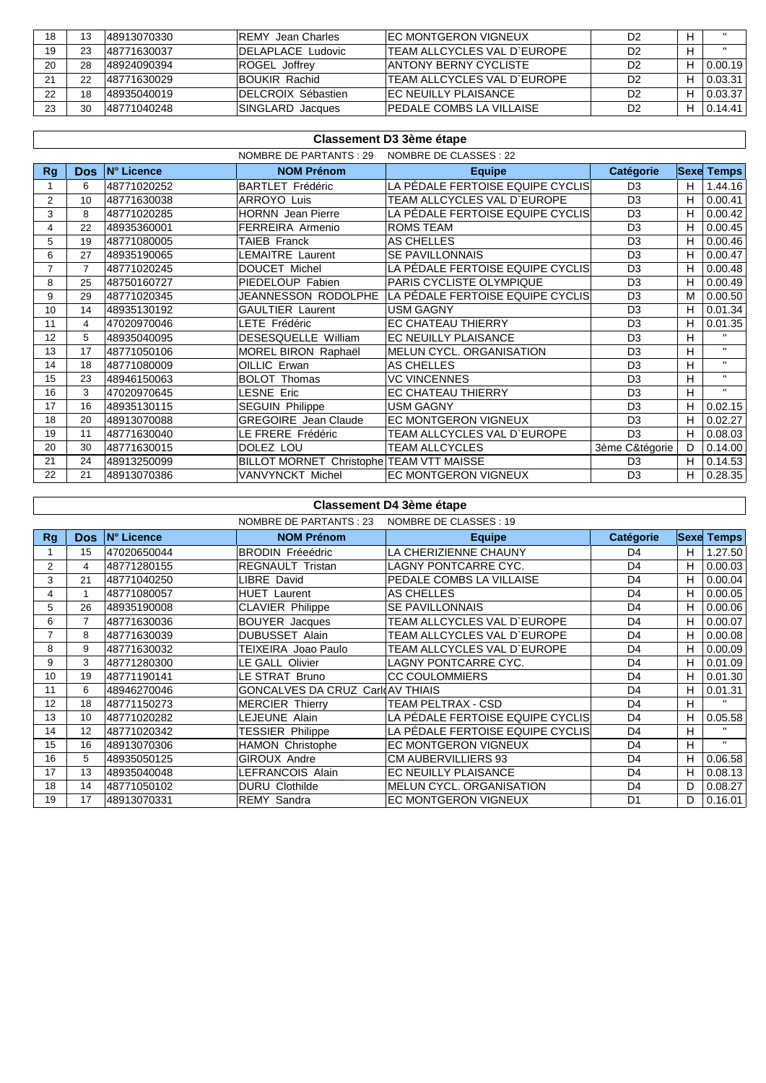| 18 |    | 148913070330 | <b>IREMY Jean Charles</b> | <b>IEC MONTGERON VIGNEUX</b>        | D2             |         |
|----|----|--------------|---------------------------|-------------------------------------|----------------|---------|
| 19 |    | 148771630037 | IDELAPLACE Ludovic        | <b>ITEAM ALLCYCLES VAL D'EUROPE</b> | D2             |         |
| 20 | 28 | 148924090394 | ROGEL Joffrey             | <b>JANTONY BERNY CYCLISTE</b>       | D2             | 0.00.19 |
| 21 | 22 | 148771630029 | IBOUKIR Rachid            | ITEAM ALLCYCLES VAL D'EUROPE        | D <sub>2</sub> | 0.03.31 |
| 22 | 18 | 48935040019  | IDELCROIX Sébastien       | IEC NEUILLY PLAISANCE               | D2             | 0.03.37 |
| 23 | 30 | 48771040248  | SINGLARD Jacques          | <b>IPEDALE COMBS LA VILLAISE</b>    | D <sub>2</sub> | 0.14.41 |

|                | Classement D3 3ème étape |             |                                          |                                    |                |   |                   |  |
|----------------|--------------------------|-------------|------------------------------------------|------------------------------------|----------------|---|-------------------|--|
|                |                          |             | NOMBRE DE PARTANTS : 29                  | NOMBRE DE CLASSES : 22             |                |   |                   |  |
| <b>Rg</b>      | Dos.                     | IN° Licence | <b>NOM Prénom</b>                        | <b>Equipe</b>                      | Catégorie      |   | <b>Sexe Temps</b> |  |
|                | 6                        | 48771020252 | <b>BARTLET Frédéric</b>                  | LA PÉDALE FERTOISE EQUIPE CYCLISI  | D <sub>3</sub> | н | 1.44.16           |  |
| $\overline{2}$ | 10                       | 48771630038 | <b>ARROYO Luis</b>                       | <b>TEAM ALLCYCLES VAL D'EUROPE</b> | D <sub>3</sub> | н | 0.00.41           |  |
| 3              | 8                        | 48771020285 | <b>HORNN</b> Jean Pierre                 | LA PÉDALE FERTOISE EQUIPE CYCLISI  | D <sub>3</sub> | н | 0.00.42           |  |
| 4              | 22                       | 48935360001 | FERREIRA Armenio                         | <b>ROMS TEAM</b>                   | D <sub>3</sub> | н | 0.00.45           |  |
| 5              | 19                       | 48771080005 | TAIEB Franck                             | <b>AS CHELLES</b>                  | D <sub>3</sub> | н | 0.00.46           |  |
| 6              | 27                       | 48935190065 | LEMAITRE Laurent                         | <b>SE PAVILLONNAIS</b>             | D <sub>3</sub> | н | 0.00.47           |  |
| $\overline{7}$ | $\overline{7}$           | 48771020245 | <b>DOUCET Michel</b>                     | LA PÉDALE FERTOISE EQUIPE CYCLIS   | D <sub>3</sub> | н | 0.00.48           |  |
| 8              | 25                       | 48750160727 | PIEDELOUP Fabien                         | PARIS CYCLISTE OLYMPIQUE           | D <sub>3</sub> | н | 0.00.49           |  |
| 9              | 29                       | 48771020345 | JEANNESSON RODOLPHE                      | LA PÉDALE FERTOISE EQUIPE CYCLISI  | D <sub>3</sub> | м | 0.00.50           |  |
| 10             | 14                       | 48935130192 | <b>GAULTIER Laurent</b>                  | USM GAGNY                          | D <sub>3</sub> | н | 0.01.34           |  |
| 11             | 4                        | 47020970046 | LETE Frédéric                            | EC CHATEAU THIERRY                 | D <sub>3</sub> | н | 0.01.35           |  |
| 12             | 5                        | 48935040095 | DESESQUELLE William                      | EC NEUILLY PLAISANCE               | D <sub>3</sub> | н | $\mathbf{H}$      |  |
| 13             | 17                       | 48771050106 | MOREL BIRON Raphaël                      | MELUN CYCL. ORGANISATION           | D <sub>3</sub> | н | $\mathbf{H}$      |  |
| 14             | 18                       | 48771080009 | OILLIC Erwan                             | AS CHELLES                         | D <sub>3</sub> | н | $\mathbf{H}$      |  |
| 15             | 23                       | 48946150063 | <b>BOLOT Thomas</b>                      | <b>VC VINCENNES</b>                | D <sub>3</sub> | н | $\mathbf{H}$      |  |
| 16             | 3                        | 47020970645 | LESNE Eric                               | EC CHATEAU THIERRY                 | D <sub>3</sub> | н |                   |  |
| 17             | 16                       | 48935130115 | <b>SEGUIN Philippe</b>                   | USM GAGNY                          | D <sub>3</sub> | н | 0.02.15           |  |
| 18             | 20                       | 48913070088 | <b>GREGOIRE</b> Jean Claude              | EC MONTGERON VIGNEUX               | D <sub>3</sub> | н | 0.02.27           |  |
| 19             | 11                       | 48771630040 | LE FRERE Frédéric                        | TEAM ALLCYCLES VAL D'EUROPE        | D <sub>3</sub> | н | 0.08.03           |  |
| 20             | 30                       | 48771630015 | DOLEZ LOU                                | <b>TEAM ALLCYCLES</b>              | 3ème C&tégorie | D | 0.14.00           |  |
| 21             | 24                       | 48913250099 | BILLOT MORNET Christophe TEAM VTT MAISSE |                                    | D <sub>3</sub> | н | 0.14.53           |  |
| 22             | 21                       | 48913070386 | VANVYNCKT Michel                         | EC MONTGERON VIGNEUX               | D <sub>3</sub> | н | 0.28.35           |  |

# **Classement D4 3ème étape**

| NOMBRE DE CLASSES : 19<br>NOMBRE DE PARTANTS : 23 |                |             |                                  |                                   |                  |             |              |
|---------------------------------------------------|----------------|-------------|----------------------------------|-----------------------------------|------------------|-------------|--------------|
| Rg                                                | <b>Dos</b>     | IN° Licence | <b>NOM Prénom</b>                | <b>Equipe</b>                     | <b>Catégorie</b> | <b>Sexe</b> | <b>Temps</b> |
|                                                   | 15             | 47020650044 | <b>BRODIN Fréeédric</b>          | LA CHERIZIENNE CHAUNY             | D <sub>4</sub>   | н           | 1.27.50      |
| $\overline{2}$                                    | 4              | 48771280155 | <b>REGNAULT Tristan</b>          | <b>LAGNY PONTCARRE CYC.</b>       | D <sub>4</sub>   | н           | 0.00.03      |
| 3                                                 | 21             | 48771040250 | <b>IBRE David</b>                | PEDALE COMBS LA VILLAISE          | D <sub>4</sub>   | н           | 0.00.04      |
| 4                                                 |                | 48771080057 | <b>HUET Laurent</b>              | <b>AS CHELLES</b>                 | D <sub>4</sub>   | н           | 0.00.05      |
| 5                                                 | 26             | 48935190008 | <b>CLAVIER Philippe</b>          | <b>SE PAVILLONNAIS</b>            | D <sub>4</sub>   | н           | 0.00.06      |
| 6                                                 | $\overline{7}$ | 48771630036 | <b>BOUYER</b> Jacques            | TEAM ALLCYCLES VAL D'EUROPE       | D <sub>4</sub>   | н           | 0.00.07      |
|                                                   | 8              | 48771630039 | <b>DUBUSSET Alain</b>            | TEAM ALLCYCLES VAL D'EUROPE       | D <sub>4</sub>   | н           | 0.00.08      |
| 8                                                 | 9              | 48771630032 | TEIXEIRA Joao Paulo              | TEAM ALLCYCLES VAL D`EUROPE       | D <sub>4</sub>   | н           | 0.00.09      |
| 9                                                 | 3              | 48771280300 | E GALL Olivier                   | LAGNY PONTCARRE CYC.              | D <sub>4</sub>   | H           | 0.01.09      |
| 10                                                | 19             | 48771190141 | LE STRAT Bruno                   | <b>CC COULOMMIERS</b>             | D <sub>4</sub>   | н           | 0.01.30      |
| 11                                                | 6              | 48946270046 | GONCALVES DA CRUZ Carl AV THIAIS |                                   | D <sub>4</sub>   | H           | 0.01.31      |
| 12                                                | 18             | 48771150273 | <b>MERCIER Thierry</b>           | <b>TEAM PELTRAX - CSD</b>         | D <sub>4</sub>   | н           | $\mathbf{H}$ |
| 13                                                | 10             | 48771020282 | LEJEUNE Alain                    | LA PÉDALE FERTOISE EQUIPE CYCLISI | D <sub>4</sub>   | H           | 0.05.58      |
| 14                                                | 12             | 48771020342 | <b>TESSIER Philippe</b>          | LA PÉDALE FERTOISE EQUIPE CYCLISI | D <sub>4</sub>   | н           | $\mathbf{H}$ |
| 15                                                | 16             | 48913070306 | <b>HAMON Christophe</b>          | <b>EC MONTGERON VIGNEUX</b>       | D <sub>4</sub>   | н           | $\mathbf{H}$ |
| 16                                                | 5              | 48935050125 | <b>GIROUX Andre</b>              | <b>CM AUBERVILLIERS 93</b>        | D <sub>4</sub>   | н           | 0.06.58      |
| 17                                                | 13             | 48935040048 | LEFRANCOIS Alain                 | EC NEUILLY PLAISANCE              | D <sub>4</sub>   | н           | 0.08.13      |
| 18                                                | 14             | 48771050102 | <b>DURU Clothilde</b>            | <b>MELUN CYCL, ORGANISATION</b>   | D <sub>4</sub>   | D           | 0.08.27      |
| 19                                                | 17             | 48913070331 | <b>REMY Sandra</b>               | EC MONTGERON VIGNEUX              | D <sub>1</sub>   | D           | 0.16.01      |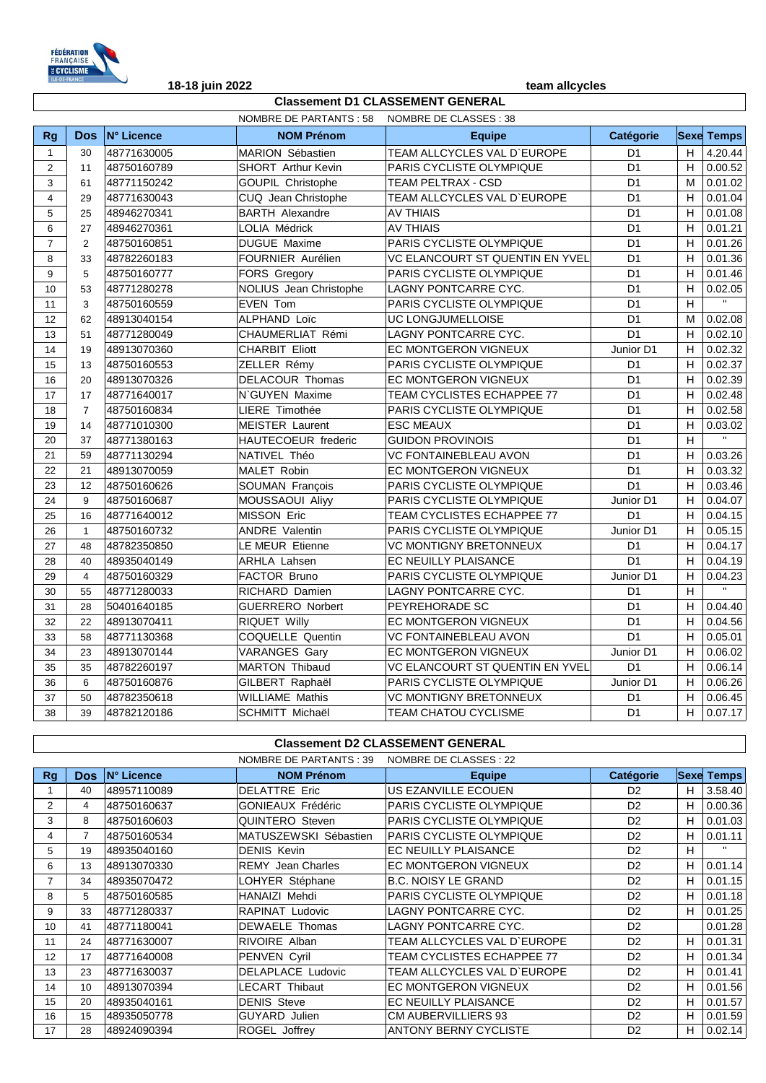

### NOMBRE DE PARTANTS : 58 NOMBRE DE CLASSES : 38 **Classement D1 CLASSEMENT GENERAL**

| <b>N° Licence</b><br>Catégorie<br><b>Sexe Temps</b><br><b>Dos</b><br><b>NOM Prénom</b><br><b>Rg</b><br><b>Equipe</b><br>MARION Sébastien<br>TEAM ALLCYCLES VAL D'EUROPE<br>H<br>4.20.44<br>48771630005<br>D <sub>1</sub><br>$\mathbf{1}$<br>30<br>D <sub>1</sub><br>H<br>0.00.52<br>$\overline{2}$<br><b>SHORT</b> Arthur Kevin<br>PARIS CYCLISTE OLYMPIQUE<br>11<br>48750160789<br>3<br>D <sub>1</sub><br>61<br>48771150242<br>GOUPIL Christophe<br>TEAM PELTRAX - CSD<br>0.01.02<br>М<br>CUQ Jean Christophe<br>TEAM ALLCYCLES VAL D'EUROPE<br>D <sub>1</sub><br>H<br>0.01.04<br>$\overline{\mathbf{4}}$<br>29<br>48771630043<br>0.01.08<br>5<br><b>BARTH Alexandre</b><br><b>AV THIAIS</b><br>D <sub>1</sub><br>H<br>25<br>48946270341<br>LOLIA Médrick<br><b>AV THIAIS</b><br>D <sub>1</sub><br>H<br>0.01.21<br>6<br>48946270361<br>27<br>PARIS CYCLISTE OLYMPIQUE<br>$\overline{7}$<br><b>DUGUE Maxime</b><br>D <sub>1</sub><br>H<br>0.01.26<br>$\overline{c}$<br>48750160851<br>8<br>FOURNIER Aurélien<br>VC ELANCOURT ST QUENTIN EN YVEL<br>D <sub>1</sub><br>0.01.36<br>33<br>48782260183<br>H<br>D <sub>1</sub><br>9<br>5<br>FORS Gregory<br>PARIS CYCLISTE OLYMPIQUE<br>н<br>0.01.46<br>48750160777<br>53<br>NOLIUS Jean Christophe<br>LAGNY PONTCARRE CYC.<br>D <sub>1</sub><br>H<br>0.02.05<br>10<br>48771280278<br>$\mathbf{u}$<br>D <sub>1</sub><br>H<br>3<br><b>EVEN Tom</b><br>PARIS CYCLISTE OLYMPIQUE<br>11<br>48750160559<br>ALPHAND Loïc<br>UC LONGJUMELLOISE<br>D <sub>1</sub><br>0.02.08<br>62<br>48913040154<br>M<br>12<br>CHAUMERLIAT Rémi<br>LAGNY PONTCARRE CYC.<br>D <sub>1</sub><br>0.02.10<br>13<br>51<br>48771280049<br>H<br>EC MONTGERON VIGNEUX<br>0.02.32<br>19<br>48913070360<br><b>CHARBIT Eliott</b><br>Junior D1<br>H<br>14<br>0.02.37<br>ZELLER Rémy<br>PARIS CYCLISTE OLYMPIQUE<br>D <sub>1</sub><br>15<br>13<br>48750160553<br>н<br>16<br>20<br>DELACOUR Thomas<br>D <sub>1</sub><br>H<br>0.02.39<br>48913070326<br>EC MONTGERON VIGNEUX<br>D <sub>1</sub><br>H<br>0.02.48<br>17<br>N'GUYEN Maxime<br>TEAM CYCLISTES ECHAPPEE 77<br>17<br>48771640017<br>48750160834<br>LIERE Timothée<br>PARIS CYCLISTE OLYMPIQUE<br>D <sub>1</sub><br>0.02.58<br>18<br>$\overline{7}$<br>H<br>D <sub>1</sub><br>0.03.02<br>19<br>14<br>48771010300<br><b>MEISTER Laurent</b><br><b>ESC MEAUX</b><br>н<br>$\overline{\mathbf{u}}$<br>$\overline{H}$<br>HAUTECOEUR frederic<br><b>GUIDON PROVINOIS</b><br>D <sub>1</sub><br>20<br>37<br>48771380163<br>21<br>59<br>D <sub>1</sub><br>H<br>0.03.26<br>48771130294<br>NATIVEL Théo<br>VC FONTAINEBLEAU AVON<br>MALET Robin<br>D <sub>1</sub><br>0.03.32<br>22<br>21<br>48913070059<br>EC MONTGERON VIGNEUX<br>H.<br>D <sub>1</sub><br>0.03.46<br>23<br>48750160626<br>SOUMAN François<br>PARIS CYCLISTE OLYMPIQUE<br>н<br>12<br>24<br>9<br>PARIS CYCLISTE OLYMPIQUE<br>Junior D1<br>0.04.07<br>48750160687<br>MOUSSAOUI Aliyy<br>H<br>MISSON Eric<br>0.04.15<br>25<br>16<br>48771640012<br>TEAM CYCLISTES ECHAPPEE 77<br>D <sub>1</sub><br>H<br>0.05.15<br><b>ANDRE Valentin</b><br>PARIS CYCLISTE OLYMPIQUE<br>Junior D1<br>26<br>48750160732<br>H<br>$\mathbf{1}$<br>LE MEUR Etienne<br><b>VC MONTIGNY BRETONNEUX</b><br>H<br>0.04.17<br>27<br>48<br>48782350850<br>D <sub>1</sub> |
|------------------------------------------------------------------------------------------------------------------------------------------------------------------------------------------------------------------------------------------------------------------------------------------------------------------------------------------------------------------------------------------------------------------------------------------------------------------------------------------------------------------------------------------------------------------------------------------------------------------------------------------------------------------------------------------------------------------------------------------------------------------------------------------------------------------------------------------------------------------------------------------------------------------------------------------------------------------------------------------------------------------------------------------------------------------------------------------------------------------------------------------------------------------------------------------------------------------------------------------------------------------------------------------------------------------------------------------------------------------------------------------------------------------------------------------------------------------------------------------------------------------------------------------------------------------------------------------------------------------------------------------------------------------------------------------------------------------------------------------------------------------------------------------------------------------------------------------------------------------------------------------------------------------------------------------------------------------------------------------------------------------------------------------------------------------------------------------------------------------------------------------------------------------------------------------------------------------------------------------------------------------------------------------------------------------------------------------------------------------------------------------------------------------------------------------------------------------------------------------------------------------------------------------------------------------------------------------------------------------------------------------------------------------------------------------------------------------------------------------------------------------------------------------------------------------------------------------------------------------------------------------------------------------------------------------------------------------------------------------------------------------------------------------------------------------------------------------------------------------------------------------------------------------------------------------------------------------------------------------------------------|
|                                                                                                                                                                                                                                                                                                                                                                                                                                                                                                                                                                                                                                                                                                                                                                                                                                                                                                                                                                                                                                                                                                                                                                                                                                                                                                                                                                                                                                                                                                                                                                                                                                                                                                                                                                                                                                                                                                                                                                                                                                                                                                                                                                                                                                                                                                                                                                                                                                                                                                                                                                                                                                                                                                                                                                                                                                                                                                                                                                                                                                                                                                                                                                                                                                                            |
|                                                                                                                                                                                                                                                                                                                                                                                                                                                                                                                                                                                                                                                                                                                                                                                                                                                                                                                                                                                                                                                                                                                                                                                                                                                                                                                                                                                                                                                                                                                                                                                                                                                                                                                                                                                                                                                                                                                                                                                                                                                                                                                                                                                                                                                                                                                                                                                                                                                                                                                                                                                                                                                                                                                                                                                                                                                                                                                                                                                                                                                                                                                                                                                                                                                            |
|                                                                                                                                                                                                                                                                                                                                                                                                                                                                                                                                                                                                                                                                                                                                                                                                                                                                                                                                                                                                                                                                                                                                                                                                                                                                                                                                                                                                                                                                                                                                                                                                                                                                                                                                                                                                                                                                                                                                                                                                                                                                                                                                                                                                                                                                                                                                                                                                                                                                                                                                                                                                                                                                                                                                                                                                                                                                                                                                                                                                                                                                                                                                                                                                                                                            |
|                                                                                                                                                                                                                                                                                                                                                                                                                                                                                                                                                                                                                                                                                                                                                                                                                                                                                                                                                                                                                                                                                                                                                                                                                                                                                                                                                                                                                                                                                                                                                                                                                                                                                                                                                                                                                                                                                                                                                                                                                                                                                                                                                                                                                                                                                                                                                                                                                                                                                                                                                                                                                                                                                                                                                                                                                                                                                                                                                                                                                                                                                                                                                                                                                                                            |
|                                                                                                                                                                                                                                                                                                                                                                                                                                                                                                                                                                                                                                                                                                                                                                                                                                                                                                                                                                                                                                                                                                                                                                                                                                                                                                                                                                                                                                                                                                                                                                                                                                                                                                                                                                                                                                                                                                                                                                                                                                                                                                                                                                                                                                                                                                                                                                                                                                                                                                                                                                                                                                                                                                                                                                                                                                                                                                                                                                                                                                                                                                                                                                                                                                                            |
|                                                                                                                                                                                                                                                                                                                                                                                                                                                                                                                                                                                                                                                                                                                                                                                                                                                                                                                                                                                                                                                                                                                                                                                                                                                                                                                                                                                                                                                                                                                                                                                                                                                                                                                                                                                                                                                                                                                                                                                                                                                                                                                                                                                                                                                                                                                                                                                                                                                                                                                                                                                                                                                                                                                                                                                                                                                                                                                                                                                                                                                                                                                                                                                                                                                            |
|                                                                                                                                                                                                                                                                                                                                                                                                                                                                                                                                                                                                                                                                                                                                                                                                                                                                                                                                                                                                                                                                                                                                                                                                                                                                                                                                                                                                                                                                                                                                                                                                                                                                                                                                                                                                                                                                                                                                                                                                                                                                                                                                                                                                                                                                                                                                                                                                                                                                                                                                                                                                                                                                                                                                                                                                                                                                                                                                                                                                                                                                                                                                                                                                                                                            |
|                                                                                                                                                                                                                                                                                                                                                                                                                                                                                                                                                                                                                                                                                                                                                                                                                                                                                                                                                                                                                                                                                                                                                                                                                                                                                                                                                                                                                                                                                                                                                                                                                                                                                                                                                                                                                                                                                                                                                                                                                                                                                                                                                                                                                                                                                                                                                                                                                                                                                                                                                                                                                                                                                                                                                                                                                                                                                                                                                                                                                                                                                                                                                                                                                                                            |
|                                                                                                                                                                                                                                                                                                                                                                                                                                                                                                                                                                                                                                                                                                                                                                                                                                                                                                                                                                                                                                                                                                                                                                                                                                                                                                                                                                                                                                                                                                                                                                                                                                                                                                                                                                                                                                                                                                                                                                                                                                                                                                                                                                                                                                                                                                                                                                                                                                                                                                                                                                                                                                                                                                                                                                                                                                                                                                                                                                                                                                                                                                                                                                                                                                                            |
|                                                                                                                                                                                                                                                                                                                                                                                                                                                                                                                                                                                                                                                                                                                                                                                                                                                                                                                                                                                                                                                                                                                                                                                                                                                                                                                                                                                                                                                                                                                                                                                                                                                                                                                                                                                                                                                                                                                                                                                                                                                                                                                                                                                                                                                                                                                                                                                                                                                                                                                                                                                                                                                                                                                                                                                                                                                                                                                                                                                                                                                                                                                                                                                                                                                            |
|                                                                                                                                                                                                                                                                                                                                                                                                                                                                                                                                                                                                                                                                                                                                                                                                                                                                                                                                                                                                                                                                                                                                                                                                                                                                                                                                                                                                                                                                                                                                                                                                                                                                                                                                                                                                                                                                                                                                                                                                                                                                                                                                                                                                                                                                                                                                                                                                                                                                                                                                                                                                                                                                                                                                                                                                                                                                                                                                                                                                                                                                                                                                                                                                                                                            |
|                                                                                                                                                                                                                                                                                                                                                                                                                                                                                                                                                                                                                                                                                                                                                                                                                                                                                                                                                                                                                                                                                                                                                                                                                                                                                                                                                                                                                                                                                                                                                                                                                                                                                                                                                                                                                                                                                                                                                                                                                                                                                                                                                                                                                                                                                                                                                                                                                                                                                                                                                                                                                                                                                                                                                                                                                                                                                                                                                                                                                                                                                                                                                                                                                                                            |
|                                                                                                                                                                                                                                                                                                                                                                                                                                                                                                                                                                                                                                                                                                                                                                                                                                                                                                                                                                                                                                                                                                                                                                                                                                                                                                                                                                                                                                                                                                                                                                                                                                                                                                                                                                                                                                                                                                                                                                                                                                                                                                                                                                                                                                                                                                                                                                                                                                                                                                                                                                                                                                                                                                                                                                                                                                                                                                                                                                                                                                                                                                                                                                                                                                                            |
|                                                                                                                                                                                                                                                                                                                                                                                                                                                                                                                                                                                                                                                                                                                                                                                                                                                                                                                                                                                                                                                                                                                                                                                                                                                                                                                                                                                                                                                                                                                                                                                                                                                                                                                                                                                                                                                                                                                                                                                                                                                                                                                                                                                                                                                                                                                                                                                                                                                                                                                                                                                                                                                                                                                                                                                                                                                                                                                                                                                                                                                                                                                                                                                                                                                            |
|                                                                                                                                                                                                                                                                                                                                                                                                                                                                                                                                                                                                                                                                                                                                                                                                                                                                                                                                                                                                                                                                                                                                                                                                                                                                                                                                                                                                                                                                                                                                                                                                                                                                                                                                                                                                                                                                                                                                                                                                                                                                                                                                                                                                                                                                                                                                                                                                                                                                                                                                                                                                                                                                                                                                                                                                                                                                                                                                                                                                                                                                                                                                                                                                                                                            |
|                                                                                                                                                                                                                                                                                                                                                                                                                                                                                                                                                                                                                                                                                                                                                                                                                                                                                                                                                                                                                                                                                                                                                                                                                                                                                                                                                                                                                                                                                                                                                                                                                                                                                                                                                                                                                                                                                                                                                                                                                                                                                                                                                                                                                                                                                                                                                                                                                                                                                                                                                                                                                                                                                                                                                                                                                                                                                                                                                                                                                                                                                                                                                                                                                                                            |
|                                                                                                                                                                                                                                                                                                                                                                                                                                                                                                                                                                                                                                                                                                                                                                                                                                                                                                                                                                                                                                                                                                                                                                                                                                                                                                                                                                                                                                                                                                                                                                                                                                                                                                                                                                                                                                                                                                                                                                                                                                                                                                                                                                                                                                                                                                                                                                                                                                                                                                                                                                                                                                                                                                                                                                                                                                                                                                                                                                                                                                                                                                                                                                                                                                                            |
|                                                                                                                                                                                                                                                                                                                                                                                                                                                                                                                                                                                                                                                                                                                                                                                                                                                                                                                                                                                                                                                                                                                                                                                                                                                                                                                                                                                                                                                                                                                                                                                                                                                                                                                                                                                                                                                                                                                                                                                                                                                                                                                                                                                                                                                                                                                                                                                                                                                                                                                                                                                                                                                                                                                                                                                                                                                                                                                                                                                                                                                                                                                                                                                                                                                            |
|                                                                                                                                                                                                                                                                                                                                                                                                                                                                                                                                                                                                                                                                                                                                                                                                                                                                                                                                                                                                                                                                                                                                                                                                                                                                                                                                                                                                                                                                                                                                                                                                                                                                                                                                                                                                                                                                                                                                                                                                                                                                                                                                                                                                                                                                                                                                                                                                                                                                                                                                                                                                                                                                                                                                                                                                                                                                                                                                                                                                                                                                                                                                                                                                                                                            |
|                                                                                                                                                                                                                                                                                                                                                                                                                                                                                                                                                                                                                                                                                                                                                                                                                                                                                                                                                                                                                                                                                                                                                                                                                                                                                                                                                                                                                                                                                                                                                                                                                                                                                                                                                                                                                                                                                                                                                                                                                                                                                                                                                                                                                                                                                                                                                                                                                                                                                                                                                                                                                                                                                                                                                                                                                                                                                                                                                                                                                                                                                                                                                                                                                                                            |
|                                                                                                                                                                                                                                                                                                                                                                                                                                                                                                                                                                                                                                                                                                                                                                                                                                                                                                                                                                                                                                                                                                                                                                                                                                                                                                                                                                                                                                                                                                                                                                                                                                                                                                                                                                                                                                                                                                                                                                                                                                                                                                                                                                                                                                                                                                                                                                                                                                                                                                                                                                                                                                                                                                                                                                                                                                                                                                                                                                                                                                                                                                                                                                                                                                                            |
|                                                                                                                                                                                                                                                                                                                                                                                                                                                                                                                                                                                                                                                                                                                                                                                                                                                                                                                                                                                                                                                                                                                                                                                                                                                                                                                                                                                                                                                                                                                                                                                                                                                                                                                                                                                                                                                                                                                                                                                                                                                                                                                                                                                                                                                                                                                                                                                                                                                                                                                                                                                                                                                                                                                                                                                                                                                                                                                                                                                                                                                                                                                                                                                                                                                            |
|                                                                                                                                                                                                                                                                                                                                                                                                                                                                                                                                                                                                                                                                                                                                                                                                                                                                                                                                                                                                                                                                                                                                                                                                                                                                                                                                                                                                                                                                                                                                                                                                                                                                                                                                                                                                                                                                                                                                                                                                                                                                                                                                                                                                                                                                                                                                                                                                                                                                                                                                                                                                                                                                                                                                                                                                                                                                                                                                                                                                                                                                                                                                                                                                                                                            |
|                                                                                                                                                                                                                                                                                                                                                                                                                                                                                                                                                                                                                                                                                                                                                                                                                                                                                                                                                                                                                                                                                                                                                                                                                                                                                                                                                                                                                                                                                                                                                                                                                                                                                                                                                                                                                                                                                                                                                                                                                                                                                                                                                                                                                                                                                                                                                                                                                                                                                                                                                                                                                                                                                                                                                                                                                                                                                                                                                                                                                                                                                                                                                                                                                                                            |
|                                                                                                                                                                                                                                                                                                                                                                                                                                                                                                                                                                                                                                                                                                                                                                                                                                                                                                                                                                                                                                                                                                                                                                                                                                                                                                                                                                                                                                                                                                                                                                                                                                                                                                                                                                                                                                                                                                                                                                                                                                                                                                                                                                                                                                                                                                                                                                                                                                                                                                                                                                                                                                                                                                                                                                                                                                                                                                                                                                                                                                                                                                                                                                                                                                                            |
|                                                                                                                                                                                                                                                                                                                                                                                                                                                                                                                                                                                                                                                                                                                                                                                                                                                                                                                                                                                                                                                                                                                                                                                                                                                                                                                                                                                                                                                                                                                                                                                                                                                                                                                                                                                                                                                                                                                                                                                                                                                                                                                                                                                                                                                                                                                                                                                                                                                                                                                                                                                                                                                                                                                                                                                                                                                                                                                                                                                                                                                                                                                                                                                                                                                            |
|                                                                                                                                                                                                                                                                                                                                                                                                                                                                                                                                                                                                                                                                                                                                                                                                                                                                                                                                                                                                                                                                                                                                                                                                                                                                                                                                                                                                                                                                                                                                                                                                                                                                                                                                                                                                                                                                                                                                                                                                                                                                                                                                                                                                                                                                                                                                                                                                                                                                                                                                                                                                                                                                                                                                                                                                                                                                                                                                                                                                                                                                                                                                                                                                                                                            |
|                                                                                                                                                                                                                                                                                                                                                                                                                                                                                                                                                                                                                                                                                                                                                                                                                                                                                                                                                                                                                                                                                                                                                                                                                                                                                                                                                                                                                                                                                                                                                                                                                                                                                                                                                                                                                                                                                                                                                                                                                                                                                                                                                                                                                                                                                                                                                                                                                                                                                                                                                                                                                                                                                                                                                                                                                                                                                                                                                                                                                                                                                                                                                                                                                                                            |
| D <sub>1</sub><br>0.04.19<br>EC NEUILLY PLAISANCE<br>H<br>48935040149<br><b>ARHLA Lahsen</b><br>28<br>40                                                                                                                                                                                                                                                                                                                                                                                                                                                                                                                                                                                                                                                                                                                                                                                                                                                                                                                                                                                                                                                                                                                                                                                                                                                                                                                                                                                                                                                                                                                                                                                                                                                                                                                                                                                                                                                                                                                                                                                                                                                                                                                                                                                                                                                                                                                                                                                                                                                                                                                                                                                                                                                                                                                                                                                                                                                                                                                                                                                                                                                                                                                                                   |
| 29<br>$\overline{4}$<br>FACTOR Bruno<br>PARIS CYCLISTE OLYMPIQUE<br>0.04.23<br>48750160329<br>Junior D1<br>н                                                                                                                                                                                                                                                                                                                                                                                                                                                                                                                                                                                                                                                                                                                                                                                                                                                                                                                                                                                                                                                                                                                                                                                                                                                                                                                                                                                                                                                                                                                                                                                                                                                                                                                                                                                                                                                                                                                                                                                                                                                                                                                                                                                                                                                                                                                                                                                                                                                                                                                                                                                                                                                                                                                                                                                                                                                                                                                                                                                                                                                                                                                                               |
| $\mathbf{H}$<br>30<br>55<br>48771280033<br>RICHARD Damien<br>LAGNY PONTCARRE CYC.<br>D <sub>1</sub><br>н                                                                                                                                                                                                                                                                                                                                                                                                                                                                                                                                                                                                                                                                                                                                                                                                                                                                                                                                                                                                                                                                                                                                                                                                                                                                                                                                                                                                                                                                                                                                                                                                                                                                                                                                                                                                                                                                                                                                                                                                                                                                                                                                                                                                                                                                                                                                                                                                                                                                                                                                                                                                                                                                                                                                                                                                                                                                                                                                                                                                                                                                                                                                                   |
| H<br>0.04.40<br>31<br>28<br>50401640185<br><b>GUERRERO Norbert</b><br>PEYREHORADE SC<br>D <sub>1</sub>                                                                                                                                                                                                                                                                                                                                                                                                                                                                                                                                                                                                                                                                                                                                                                                                                                                                                                                                                                                                                                                                                                                                                                                                                                                                                                                                                                                                                                                                                                                                                                                                                                                                                                                                                                                                                                                                                                                                                                                                                                                                                                                                                                                                                                                                                                                                                                                                                                                                                                                                                                                                                                                                                                                                                                                                                                                                                                                                                                                                                                                                                                                                                     |
| 32<br>D <sub>1</sub><br>22<br>RIQUET Willy<br><b>EC MONTGERON VIGNEUX</b><br>H<br>0.04.56<br>48913070411                                                                                                                                                                                                                                                                                                                                                                                                                                                                                                                                                                                                                                                                                                                                                                                                                                                                                                                                                                                                                                                                                                                                                                                                                                                                                                                                                                                                                                                                                                                                                                                                                                                                                                                                                                                                                                                                                                                                                                                                                                                                                                                                                                                                                                                                                                                                                                                                                                                                                                                                                                                                                                                                                                                                                                                                                                                                                                                                                                                                                                                                                                                                                   |
| D <sub>1</sub><br>COQUELLE Quentin<br><b>VC FONTAINEBLEAU AVON</b><br>H<br>0.05.01<br>33<br>58<br>48771130368                                                                                                                                                                                                                                                                                                                                                                                                                                                                                                                                                                                                                                                                                                                                                                                                                                                                                                                                                                                                                                                                                                                                                                                                                                                                                                                                                                                                                                                                                                                                                                                                                                                                                                                                                                                                                                                                                                                                                                                                                                                                                                                                                                                                                                                                                                                                                                                                                                                                                                                                                                                                                                                                                                                                                                                                                                                                                                                                                                                                                                                                                                                                              |
| 0.06.02<br><b>VARANGES Gary</b><br><b>EC MONTGERON VIGNEUX</b><br>Junior D1<br>H<br>34<br>23<br>48913070144                                                                                                                                                                                                                                                                                                                                                                                                                                                                                                                                                                                                                                                                                                                                                                                                                                                                                                                                                                                                                                                                                                                                                                                                                                                                                                                                                                                                                                                                                                                                                                                                                                                                                                                                                                                                                                                                                                                                                                                                                                                                                                                                                                                                                                                                                                                                                                                                                                                                                                                                                                                                                                                                                                                                                                                                                                                                                                                                                                                                                                                                                                                                                |
| 35<br>MARTON Thibaud<br>VC ELANCOURT ST QUENTIN EN YVEL<br>D <sub>1</sub><br>H<br>0.06.14<br>35<br>48782260197                                                                                                                                                                                                                                                                                                                                                                                                                                                                                                                                                                                                                                                                                                                                                                                                                                                                                                                                                                                                                                                                                                                                                                                                                                                                                                                                                                                                                                                                                                                                                                                                                                                                                                                                                                                                                                                                                                                                                                                                                                                                                                                                                                                                                                                                                                                                                                                                                                                                                                                                                                                                                                                                                                                                                                                                                                                                                                                                                                                                                                                                                                                                             |
| 6<br>GILBERT Raphaël<br>PARIS CYCLISTE OLYMPIQUE<br>Junior D1<br>H<br>0.06.26<br>48750160876<br>36                                                                                                                                                                                                                                                                                                                                                                                                                                                                                                                                                                                                                                                                                                                                                                                                                                                                                                                                                                                                                                                                                                                                                                                                                                                                                                                                                                                                                                                                                                                                                                                                                                                                                                                                                                                                                                                                                                                                                                                                                                                                                                                                                                                                                                                                                                                                                                                                                                                                                                                                                                                                                                                                                                                                                                                                                                                                                                                                                                                                                                                                                                                                                         |
| 37<br>50<br><b>WILLIAME Mathis</b><br>0.06.45<br>48782350618<br>VC MONTIGNY BRETONNEUX<br>D <sub>1</sub><br>H                                                                                                                                                                                                                                                                                                                                                                                                                                                                                                                                                                                                                                                                                                                                                                                                                                                                                                                                                                                                                                                                                                                                                                                                                                                                                                                                                                                                                                                                                                                                                                                                                                                                                                                                                                                                                                                                                                                                                                                                                                                                                                                                                                                                                                                                                                                                                                                                                                                                                                                                                                                                                                                                                                                                                                                                                                                                                                                                                                                                                                                                                                                                              |
| Н.<br>SCHMITT Michaël<br>TEAM CHATOU CYCLISME<br>D <sub>1</sub><br>0.07.17<br>38<br>39<br>48782120186                                                                                                                                                                                                                                                                                                                                                                                                                                                                                                                                                                                                                                                                                                                                                                                                                                                                                                                                                                                                                                                                                                                                                                                                                                                                                                                                                                                                                                                                                                                                                                                                                                                                                                                                                                                                                                                                                                                                                                                                                                                                                                                                                                                                                                                                                                                                                                                                                                                                                                                                                                                                                                                                                                                                                                                                                                                                                                                                                                                                                                                                                                                                                      |

### **Classement D2 CLASSEMENT GENERAL**

|    |     |              | NOMBRE DE PARTANTS : 39 NOMBRE DE CLASSES : 22 |                              |                |    |                   |
|----|-----|--------------|------------------------------------------------|------------------------------|----------------|----|-------------------|
| Rg | Dos | IN° Licence  | <b>NOM Prénom</b>                              | <b>Equipe</b>                | Catégorie      |    | <b>Sexe Temps</b> |
|    | 40  | 48957110089  | <b>DELATTRE Eric</b>                           | US EZANVILLE ECOUEN          | D <sub>2</sub> | Н. | 3.58.40           |
| 2  | 4   | 48750160637  | <b>GONIEAUX Frédéric</b>                       | PARIS CYCLISTE OLYMPIQUE     | D <sub>2</sub> | H. | 0.00.36           |
| 3  | 8   | 48750160603  | QUINTERO Steven                                | PARIS CYCLISTE OLYMPIQUE     | D <sub>2</sub> | Н. | 0.01.03           |
| 4  | 7   | 48750160534  | MATUSZEWSKI Sébastien                          | PARIS CYCLISTE OLYMPIQUE     | D <sub>2</sub> | H. | 0.01.11           |
| 5  | 19  | 48935040160  | <b>DENIS Kevin</b>                             | EC NEUILLY PLAISANCE         | D <sub>2</sub> | н  | $\mathbf{H}$      |
| 6  | 13  | 148913070330 | <b>REMY</b> Jean Charles                       | EC MONTGERON VIGNEUX         | D <sub>2</sub> | H. | 0.01.14           |
| 7  | 34  | 48935070472  | LOHYER Stéphane                                | <b>B.C. NOISY LE GRAND</b>   | D <sub>2</sub> | H  | 0.01.15           |
| 8  | 5   | 48750160585  | HANAIZI Mehdi                                  | PARIS CYCLISTE OLYMPIQUE     | D <sub>2</sub> | Н. | 0.01.18           |
| 9  | 33  | 148771280337 | <b>RAPINAT Ludovic</b>                         | LAGNY PONTCARRE CYC.         | D <sub>2</sub> | H. | 0.01.25           |
| 10 | 41  | 48771180041  | DEWAELE Thomas                                 | <b>LAGNY PONTCARRE CYC.</b>  | D <sub>2</sub> |    | 0.01.28           |
| 11 | 24  | 148771630007 | RIVOIRE Alban                                  | TEAM ALLCYCLES VAL D'EUROPE  | D <sub>2</sub> | H  | 0.01.31           |
| 12 | 17  | 48771640008  | PENVEN Cyril                                   | TEAM CYCLISTES ECHAPPEE 77   | D <sub>2</sub> | H. | 0.01.34           |
| 13 | 23  | 48771630037  | DELAPLACE Ludovic                              | TEAM ALLCYCLES VAL D'EUROPE  | D <sub>2</sub> | H  | 0.01.41           |
| 14 | 10  | 48913070394  | LECART Thibaut                                 | EC MONTGERON VIGNEUX         | D <sub>2</sub> | H  | 0.01.56           |
| 15 | 20  | 48935040161  | <b>DENIS Steve</b>                             | EC NEUILLY PLAISANCE         | D <sub>2</sub> | H  | 0.01.57           |
| 16 | 15  | 48935050778  | <b>GUYARD Julien</b>                           | <b>CM AUBERVILLIERS 93</b>   | D <sub>2</sub> | H  | 0.01.59           |
| 17 | 28  | 48924090394  | ROGEL Joffrey                                  | <b>ANTONY BERNY CYCLISTE</b> | D <sub>2</sub> | H  | 0.02.14           |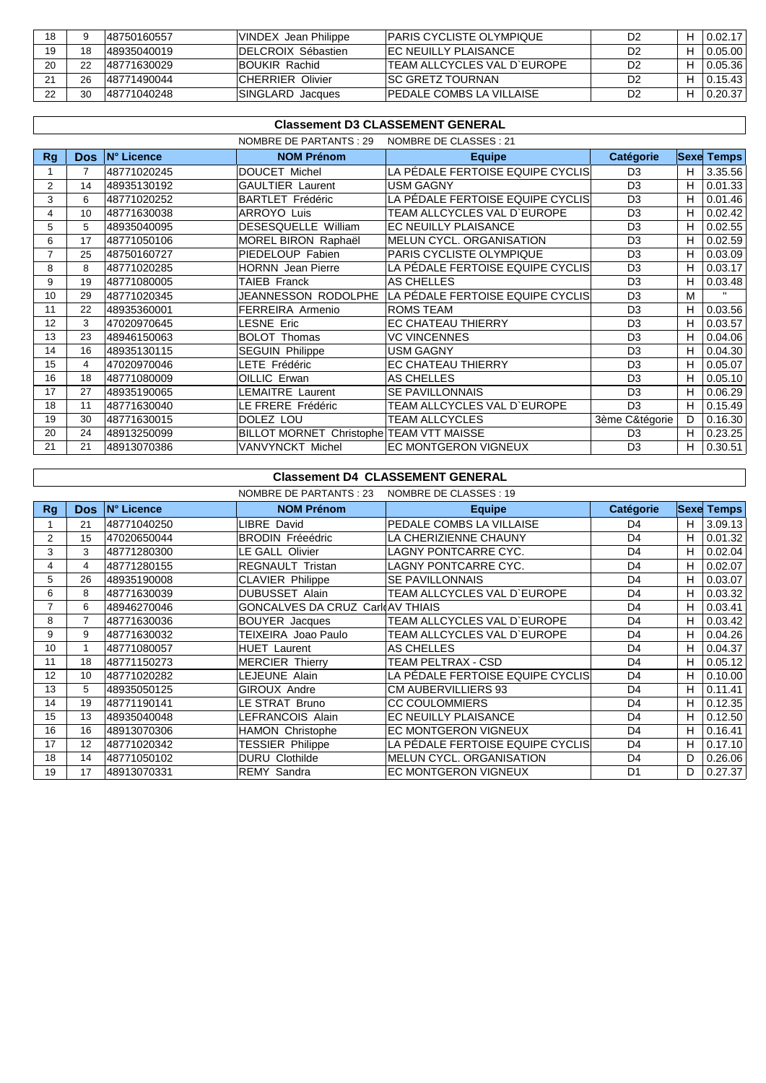| 18 |    | 148750160557 | VINDEX Jean Philippe       | <b>IPARIS CYCLISTE OLYMPIQUE</b> | D2             | 0.02.17 |
|----|----|--------------|----------------------------|----------------------------------|----------------|---------|
| 19 |    | 48935040019  | <b>IDELCROIX Sébastien</b> | IFC NEUILLY PLAISANCE.           | D2             | 0.05.00 |
| 20 |    | 148771630029 | <b>BOUKIR Rachid</b>       | ITEAM ALLCYCLES VAL D`EUROPE     | D2             | 0.05.36 |
| 21 |    | 148771490044 | <b>ICHERRIER Olivier</b>   | <b>ISC GRETZ TOURNAN</b>         | D2             | 0.15.43 |
| 22 | 30 | 148771040248 | SINGLARD Jacques           | IPEDALE COMBS LA VILLAISE        | D <sub>2</sub> | 0.20.37 |

|    | <b>Classement D3 CLASSEMENT GENERAL</b>           |             |                                          |                                  |                  |    |                   |  |  |  |  |
|----|---------------------------------------------------|-------------|------------------------------------------|----------------------------------|------------------|----|-------------------|--|--|--|--|
|    | NOMBRE DE PARTANTS : 29<br>NOMBRE DE CLASSES : 21 |             |                                          |                                  |                  |    |                   |  |  |  |  |
| Rg | <b>Dos</b>                                        | IN° Licence | <b>NOM Prénom</b>                        | <b>Equipe</b>                    | <b>Catégorie</b> |    | <b>Sexe Temps</b> |  |  |  |  |
|    | $\overline{7}$                                    | 48771020245 | DOUCET Michel                            | LA PÉDALE FERTOISE EQUIPE CYCLIS | D <sub>3</sub>   | н  | 3.35.56           |  |  |  |  |
| 2  | 14                                                | 48935130192 | GAULTIER Laurent                         | <b>USM GAGNY</b>                 | D <sub>3</sub>   | H  | 0.01.33           |  |  |  |  |
| 3  | 6                                                 | 48771020252 | <b>BARTLET Frédéric</b>                  | LA PÉDALE FERTOISE EQUIPE CYCLIS | D <sub>3</sub>   | H  | 0.01.46           |  |  |  |  |
| 4  | 10                                                | 48771630038 | <b>ARROYO Luis</b>                       | TEAM ALLCYCLES VAL D'EUROPE      | D <sub>3</sub>   | н  | 0.02.42           |  |  |  |  |
| 5  | 5                                                 | 48935040095 | DESESQUELLE William                      | EC NEUILLY PLAISANCE             | D <sub>3</sub>   | H  | 0.02.55           |  |  |  |  |
| 6  | 17                                                | 48771050106 | MOREL BIRON Raphaël                      | MELUN CYCL. ORGANISATION         | D <sub>3</sub>   | н  | 0.02.59           |  |  |  |  |
|    | 25                                                | 48750160727 | PIEDELOUP Fabien                         | PARIS CYCLISTE OLYMPIQUE         | D <sub>3</sub>   | н  | 0.03.09           |  |  |  |  |
| 8  | 8                                                 | 48771020285 | <b>HORNN</b> Jean Pierre                 | LA PÉDALE FERTOISE EQUIPE CYCLIS | D <sub>3</sub>   | н  | 0.03.17           |  |  |  |  |
| 9  | 19                                                | 48771080005 | TAIEB Franck                             | <b>AS CHELLES</b>                | D <sub>3</sub>   | н  | 0.03.48           |  |  |  |  |
| 10 | 29                                                | 48771020345 | JEANNESSON RODOLPHE                      | LA PÉDALE FERTOISE EQUIPE CYCLIS | D <sub>3</sub>   | M  | $\mathbf{H}$      |  |  |  |  |
| 11 | 22                                                | 48935360001 | <b>FERREIRA Armenio</b>                  | <b>ROMS TEAM</b>                 | D <sub>3</sub>   | н  | 0.03.56           |  |  |  |  |
| 12 | 3                                                 | 47020970645 | LESNE Eric                               | <b>EC CHATEAU THIERRY</b>        | D <sub>3</sub>   | н  | 0.03.57           |  |  |  |  |
| 13 | 23                                                | 48946150063 | <b>BOLOT Thomas</b>                      | <b>VC VINCENNES</b>              | D <sub>3</sub>   | н  | 0.04.06           |  |  |  |  |
| 14 | 16                                                | 48935130115 | <b>SEGUIN Philippe</b>                   | <b>USM GAGNY</b>                 | D <sub>3</sub>   | н  | 0.04.30           |  |  |  |  |
| 15 | 4                                                 | 47020970046 | LETE Frédéric                            | <b>EC CHATEAU THIERRY</b>        | D <sub>3</sub>   | н  | 0.05.07           |  |  |  |  |
| 16 | 18                                                | 48771080009 | OILLIC Erwan                             | AS CHELLES                       | D <sub>3</sub>   | н  | 0.05.10           |  |  |  |  |
| 17 | 27                                                | 48935190065 | LEMAITRE Laurent                         | <b>SE PAVILLONNAIS</b>           | D <sub>3</sub>   | н  | 0.06.29           |  |  |  |  |
| 18 | 11                                                | 48771630040 | LE FRERE Frédéric                        | TEAM ALLCYCLES VAL D'EUROPE      | D <sub>3</sub>   | н  | 0.15.49           |  |  |  |  |
| 19 | 30                                                | 48771630015 | DOLEZ LOU                                | <b>TEAM ALLCYCLES</b>            | 3ème C&tégorie   | D  | 0.16.30           |  |  |  |  |
| 20 | 24                                                | 48913250099 | BILLOT MORNET Christophe TEAM VTT MAISSE |                                  | D <sub>3</sub>   | н  | 0.23.25           |  |  |  |  |
| 21 | 21                                                | 48913070386 | VANVYNCKT Michel                         | <b>EC MONTGERON VIGNEUX</b>      | D <sub>3</sub>   | H. | 0.30.51           |  |  |  |  |

## **Classement D4 CLASSEMENT GENERAL**

| NOMBRE DE PARTANTS : 23<br>NOMBRE DE CLASSES : 19 |      |             |                                  |                                   |                  |   |                   |
|---------------------------------------------------|------|-------------|----------------------------------|-----------------------------------|------------------|---|-------------------|
| Rg                                                | Dos. | IN° Licence | <b>NOM Prénom</b>                | <b>Equipe</b>                     | <b>Catégorie</b> |   | <b>Sexe Temps</b> |
|                                                   | 21   | 48771040250 | LIBRE David                      | PEDALE COMBS LA VILLAISE          | D4               | H | 3.09.13           |
| $\overline{2}$                                    | 15   | 47020650044 | <b>BRODIN Fréeédric</b>          | LA CHERIZIENNE CHAUNY             | D <sub>4</sub>   | Н | 0.01.32           |
| 3                                                 | 3    | 48771280300 | LE GALL Olivier                  | <b>LAGNY PONTCARRE CYC.</b>       | D <sub>4</sub>   | Н | 0.02.04           |
| 4                                                 | 4    | 48771280155 | <b>REGNAULT Tristan</b>          | <b>LAGNY PONTCARRE CYC.</b>       | D <sub>4</sub>   | Н | 0.02.07           |
| 5                                                 | 26   | 48935190008 | <b>CLAVIER Philippe</b>          | <b>SE PAVILLONNAIS</b>            | D <sub>4</sub>   | Н | 0.03.07           |
| 6                                                 | 8    | 48771630039 | DUBUSSET Alain                   | TEAM ALLCYCLES VAL D'EUROPE       | D <sub>4</sub>   | H | 0.03.32           |
|                                                   | 6    | 48946270046 | GONCALVES DA CRUZ Carl AV THIAIS |                                   | D <sub>4</sub>   | H | 0.03.41           |
| 8                                                 | 7    | 48771630036 | <b>BOUYER</b> Jacques            | TEAM ALLCYCLES VAL D'EUROPE       | D <sub>4</sub>   | H | 0.03.42           |
| 9                                                 | 9    | 48771630032 | TEIXEIRA Joao Paulo              | TEAM ALLCYCLES VAL D'EUROPE       | D <sub>4</sub>   | H | 0.04.26           |
| 10                                                |      | 48771080057 | <b>HUET Laurent</b>              | AS CHELLES                        | D <sub>4</sub>   | H | 0.04.37           |
| 11                                                | 18   | 48771150273 | <b>MERCIER Thierry</b>           | TEAM PELTRAX - CSD                | D <sub>4</sub>   | H | 0.05.12           |
| 12                                                | 10   | 48771020282 | LEJEUNE Alain                    | LA PÉDALE FERTOISE EQUIPE CYCLIS  | D <sub>4</sub>   | H | 0.10.00           |
| 13                                                | 5    | 48935050125 | <b>GIROUX Andre</b>              | <b>CM AUBERVILLIERS 93</b>        | D <sub>4</sub>   | H | 0.11.41           |
| 14                                                | 19   | 48771190141 | LE STRAT Bruno                   | <b>CC COULOMMIERS</b>             | D <sub>4</sub>   | H | 0.12.35           |
| 15                                                | 13   | 48935040048 | LEFRANCOIS Alain                 | EC NEUILLY PLAISANCE              | D <sub>4</sub>   | H | 0.12.50           |
| 16                                                | 16   | 48913070306 | <b>HAMON Christophe</b>          | <b>EC MONTGERON VIGNEUX</b>       | D <sub>4</sub>   | H | 0.16.41           |
| 17                                                | 12   | 48771020342 | <b>TESSIER Philippe</b>          | LA PÉDALE FERTOISE EQUIPE CYCLISI | D <sub>4</sub>   | Н | 0.17.10           |
| 18                                                | 14   | 48771050102 | <b>DURU Clothilde</b>            | <b>MELUN CYCL, ORGANISATION</b>   | D <sub>4</sub>   | D | 0.26.06           |
| 19                                                | 17   | 48913070331 | <b>REMY Sandra</b>               | EC MONTGERON VIGNEUX              | D <sub>1</sub>   | D | 0.27.37           |